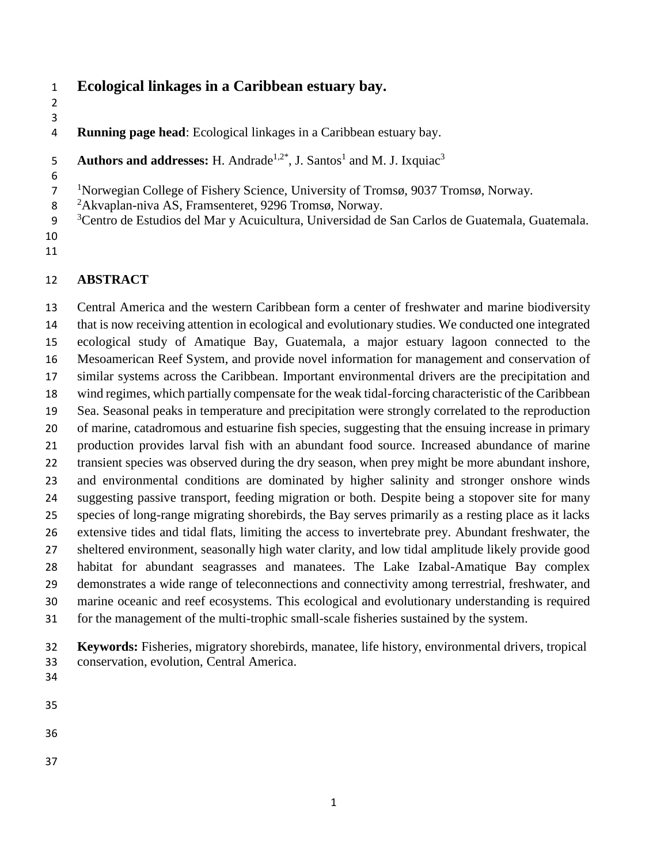# **Ecological linkages in a Caribbean estuary bay.**

 

**Running page head**: Ecological linkages in a Caribbean estuary bay.

Authors and addresses: H. Andrade<sup>1,2\*</sup>, J. Santos<sup>1</sup> and M. J. Ixquiac<sup>3</sup> 

<sup>1</sup>Norwegian College of Fishery Science, University of Tromsø, 9037 Tromsø, Norway.

8 <sup>2</sup> Akvaplan-niva AS, Framsenteret, 9296 Tromsø, Norway.

- <sup>3</sup> Centro de Estudios del Mar y Acuicultura, Universidad de San Carlos de Guatemala, Guatemala.
- 

# **ABSTRACT**

 Central America and the western Caribbean form a center of freshwater and marine biodiversity that is now receiving attention in ecological and evolutionary studies. We conducted one integrated ecological study of Amatique Bay, Guatemala, a major estuary lagoon connected to the Mesoamerican Reef System, and provide novel information for management and conservation of similar systems across the Caribbean. Important environmental drivers are the precipitation and wind regimes, which partially compensate for the weak tidal-forcing characteristic of the Caribbean Sea. Seasonal peaks in temperature and precipitation were strongly correlated to the reproduction of marine, catadromous and estuarine fish species, suggesting that the ensuing increase in primary production provides larval fish with an abundant food source. Increased abundance of marine transient species was observed during the dry season, when prey might be more abundant inshore, and environmental conditions are dominated by higher salinity and stronger onshore winds suggesting passive transport, feeding migration or both. Despite being a stopover site for many species of long-range migrating shorebirds, the Bay serves primarily as a resting place as it lacks extensive tides and tidal flats, limiting the access to invertebrate prey. Abundant freshwater, the sheltered environment, seasonally high water clarity, and low tidal amplitude likely provide good habitat for abundant seagrasses and manatees. The Lake Izabal-Amatique Bay complex demonstrates a wide range of teleconnections and connectivity among terrestrial, freshwater, and marine oceanic and reef ecosystems. This ecological and evolutionary understanding is required for the management of the multi-trophic small-scale fisheries sustained by the system.

 **Keywords:** Fisheries, migratory shorebirds, manatee, life history, environmental drivers, tropical conservation, evolution, Central America.

- 
- 
-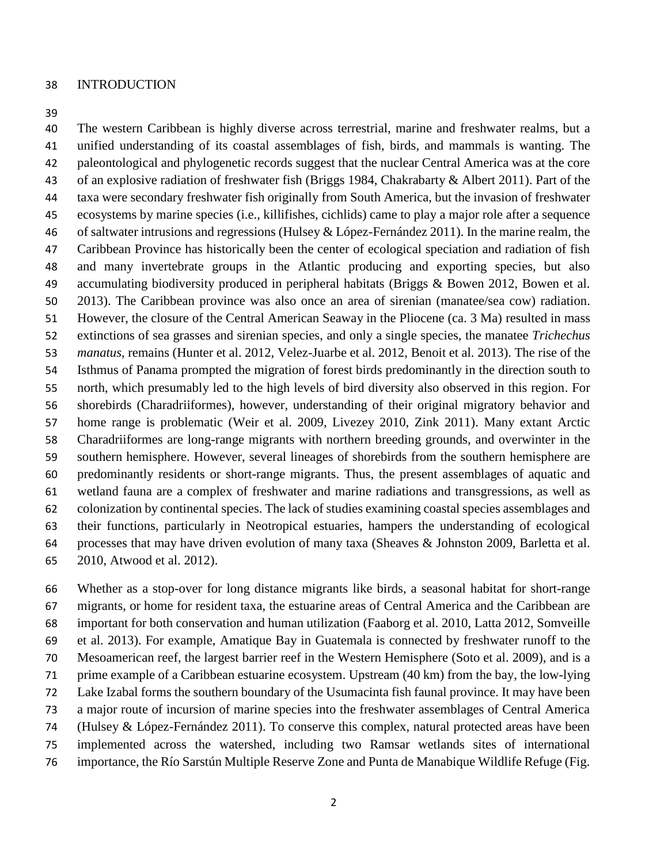#### INTRODUCTION

 The western Caribbean is highly diverse across terrestrial, marine and freshwater realms, but a unified understanding of its coastal assemblages of fish, birds, and mammals is wanting. The paleontological and phylogenetic records suggest that the nuclear Central America was at the core of an explosive radiation of freshwater fish (Briggs 1984, Chakrabarty & Albert 2011). Part of the taxa were secondary freshwater fish originally from South America, but the invasion of freshwater ecosystems by marine species (i.e., killifishes, cichlids) came to play a major role after a sequence of saltwater intrusions and regressions (Hulsey & López-Fernández 2011). In the marine realm, the Caribbean Province has historically been the center of ecological speciation and radiation of fish and many invertebrate groups in the Atlantic producing and exporting species, but also accumulating biodiversity produced in peripheral habitats (Briggs & Bowen 2012, Bowen et al. 2013). The Caribbean province was also once an area of sirenian (manatee/sea cow) radiation. However, the closure of the Central American Seaway in the Pliocene (ca. 3 Ma) resulted in mass extinctions of sea grasses and sirenian species, and only a single species, the manatee *Trichechus manatus*, remains (Hunter et al. 2012, Velez-Juarbe et al. 2012, Benoit et al. 2013). The rise of the Isthmus of Panama prompted the migration of forest birds predominantly in the direction south to north, which presumably led to the high levels of bird diversity also observed in this region. For shorebirds (Charadriiformes), however, understanding of their original migratory behavior and home range is problematic (Weir et al. 2009, Livezey 2010, Zink 2011). Many extant Arctic Charadriiformes are long-range migrants with northern breeding grounds, and overwinter in the southern hemisphere. However, several lineages of shorebirds from the southern hemisphere are predominantly residents or short-range migrants. Thus, the present assemblages of aquatic and wetland fauna are a complex of freshwater and marine radiations and transgressions, as well as colonization by continental species. The lack of studies examining coastal species assemblages and their functions, particularly in Neotropical estuaries, hampers the understanding of ecological processes that may have driven evolution of many taxa (Sheaves & Johnston 2009, Barletta et al. 2010, Atwood et al. 2012).

 Whether as a stop-over for long distance migrants like birds, a seasonal habitat for short-range migrants, or home for resident taxa, the estuarine areas of Central America and the Caribbean are important for both conservation and human utilization (Faaborg et al. 2010, Latta 2012, Somveille et al. 2013). For example, Amatique Bay in Guatemala is connected by freshwater runoff to the Mesoamerican reef, the largest barrier reef in the Western Hemisphere (Soto et al. 2009), and is a prime example of a Caribbean estuarine ecosystem. Upstream (40 km) from the bay, the low-lying Lake Izabal forms the southern boundary of the Usumacinta fish faunal province. It may have been a major route of incursion of marine species into the freshwater assemblages of Central America (Hulsey & López-Fernández 2011). To conserve this complex, natural protected areas have been implemented across the watershed, including two Ramsar wetlands sites of international importance, the Río Sarstún Multiple Reserve Zone and Punta de Manabique Wildlife Refuge (Fig.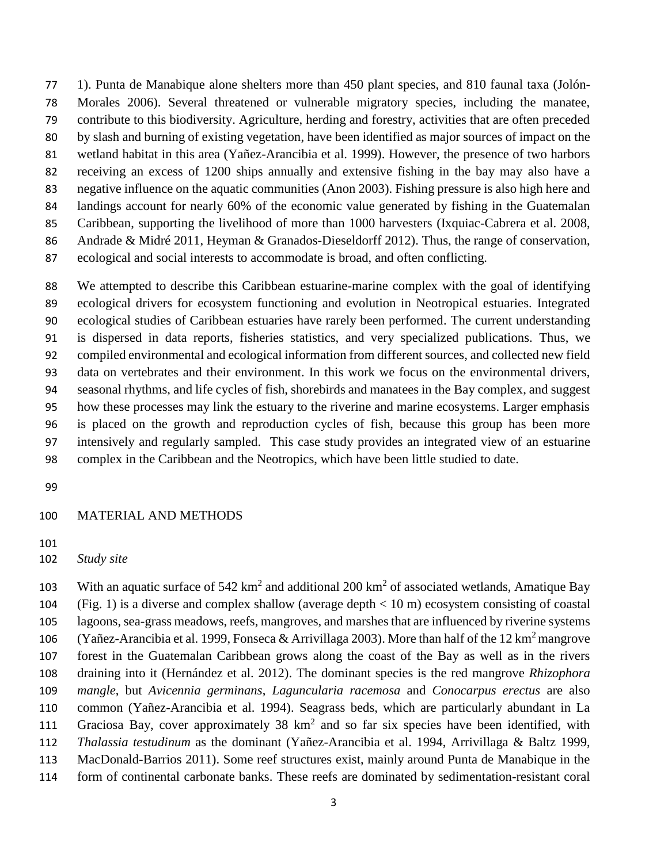1). Punta de Manabique alone shelters more than 450 plant species, and 810 faunal taxa (Jolón- Morales 2006). Several threatened or vulnerable migratory species, including the manatee, contribute to this biodiversity. Agriculture, herding and forestry, activities that are often preceded by slash and burning of existing vegetation, have been identified as major sources of impact on the wetland habitat in this area (Yañez-Arancibia et al. 1999). However, the presence of two harbors receiving an excess of 1200 ships annually and extensive fishing in the bay may also have a negative influence on the aquatic communities (Anon 2003). Fishing pressure is also high here and landings account for nearly 60% of the economic value generated by fishing in the Guatemalan Caribbean, supporting the livelihood of more than 1000 harvesters (Ixquiac-Cabrera et al. 2008, Andrade & Midré 2011, Heyman & Granados-Dieseldorff 2012). Thus, the range of conservation, ecological and social interests to accommodate is broad, and often conflicting.

 We attempted to describe this Caribbean estuarine-marine complex with the goal of identifying ecological drivers for ecosystem functioning and evolution in Neotropical estuaries. Integrated ecological studies of Caribbean estuaries have rarely been performed. The current understanding is dispersed in data reports, fisheries statistics, and very specialized publications. Thus, we compiled environmental and ecological information from different sources, and collected new field data on vertebrates and their environment. In this work we focus on the environmental drivers, seasonal rhythms, and life cycles of fish, shorebirds and manatees in the Bay complex, and suggest how these processes may link the estuary to the riverine and marine ecosystems. Larger emphasis is placed on the growth and reproduction cycles of fish, because this group has been more intensively and regularly sampled. This case study provides an integrated view of an estuarine complex in the Caribbean and the Neotropics, which have been little studied to date.

#### MATERIAL AND METHODS

103 With an aquatic surface of  $542 \text{ km}^2$  and additional  $200 \text{ km}^2$  of associated wetlands, Amatique Bay (Fig. 1) is a diverse and complex shallow (average depth < 10 m) ecosystem consisting of coastal lagoons, sea-grass meadows, reefs, mangroves, and marshes that are influenced by riverine systems 106 (Yañez-Arancibia et al. 1999, Fonseca & Arrivillaga 2003). More than half of the 12 km<sup>2</sup> mangrove forest in the Guatemalan Caribbean grows along the coast of the Bay as well as in the rivers draining into it (Hernández et al. 2012). The dominant species is the red mangrove *Rhizophora mangle*, but *Avicennia germinans*, *Laguncularia racemosa* and *Conocarpus erectus* are also common (Yañez-Arancibia et al. 1994). Seagrass beds, which are particularly abundant in La 111 Graciosa Bay, cover approximately 38 km<sup>2</sup> and so far six species have been identified, with *Thalassia testudinum* as the dominant (Yañez-Arancibia et al. 1994, Arrivillaga & Baltz 1999, MacDonald-Barrios 2011). Some reef structures exist, mainly around Punta de Manabique in the form of continental carbonate banks. These reefs are dominated by sedimentation-resistant coral

*Study site*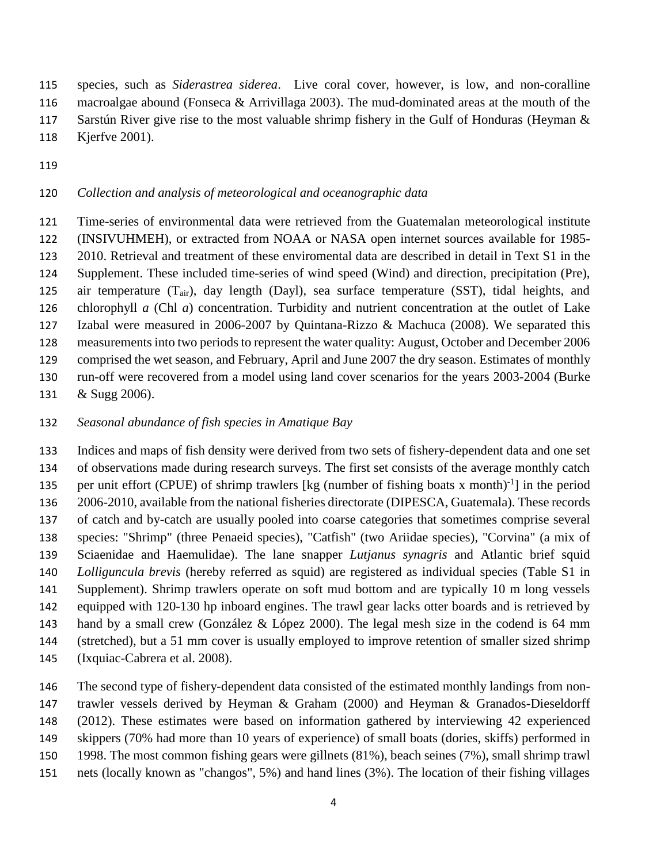species, such as *Siderastrea siderea*. Live coral cover, however, is low, and non-coralline

macroalgae abound (Fonseca & Arrivillaga 2003). The mud-dominated areas at the mouth of the

- Sarstún River give rise to the most valuable shrimp fishery in the Gulf of Honduras (Heyman &
- Kjerfve 2001).
- 

# *Collection and analysis of meteorological and oceanographic data*

 Time-series of environmental data were retrieved from the Guatemalan meteorological institute (INSIVUHMEH), or extracted from NOAA or NASA open internet sources available for 1985- 2010. Retrieval and treatment of these enviromental data are described in detail in Text S1 in the Supplement. These included time-series of wind speed (Wind) and direction, precipitation (Pre), air temperature (Tair), day length (Dayl), sea surface temperature (SST), tidal heights, and chlorophyll *a* (Chl *a*) concentration. Turbidity and nutrient concentration at the outlet of Lake Izabal were measured in 2006-2007 by Quintana-Rizzo & Machuca (2008). We separated this measurements into two periods to represent the water quality: August, October and December 2006 comprised the wet season, and February, April and June 2007 the dry season. Estimates of monthly run-off were recovered from a model using land cover scenarios for the years 2003-2004 (Burke

& Sugg 2006).

# *Seasonal abundance of fish species in Amatique Bay*

 Indices and maps of fish density were derived from two sets of fishery-dependent data and one set of observations made during research surveys. The first set consists of the average monthly catch 135 per unit effort (CPUE) of shrimp trawlers [kg (number of fishing boats x month) $^{-1}$ ] in the period 2006-2010, available from the national fisheries directorate (DIPESCA, Guatemala). These records of catch and by-catch are usually pooled into coarse categories that sometimes comprise several species: "Shrimp" (three Penaeid species), "Catfish" (two Ariidae species), "Corvina" (a mix of Sciaenidae and Haemulidae). The lane snapper *Lutjanus synagris* and Atlantic brief squid *Lolliguncula brevis* (hereby referred as squid) are registered as individual species (Table S1 in Supplement). Shrimp trawlers operate on soft mud bottom and are typically 10 m long vessels equipped with 120-130 hp inboard engines. The trawl gear lacks otter boards and is retrieved by hand by a small crew (González & López 2000). The legal mesh size in the codend is 64 mm (stretched), but a 51 mm cover is usually employed to improve retention of smaller sized shrimp (Ixquiac-Cabrera et al. 2008).

 The second type of fishery-dependent data consisted of the estimated monthly landings from non- trawler vessels derived by Heyman & Graham (2000) and Heyman & Granados-Dieseldorff (2012). These estimates were based on information gathered by interviewing 42 experienced skippers (70% had more than 10 years of experience) of small boats (dories, skiffs) performed in 1998. The most common fishing gears were gillnets (81%), beach seines (7%), small shrimp trawl nets (locally known as "changos", 5%) and hand lines (3%). The location of their fishing villages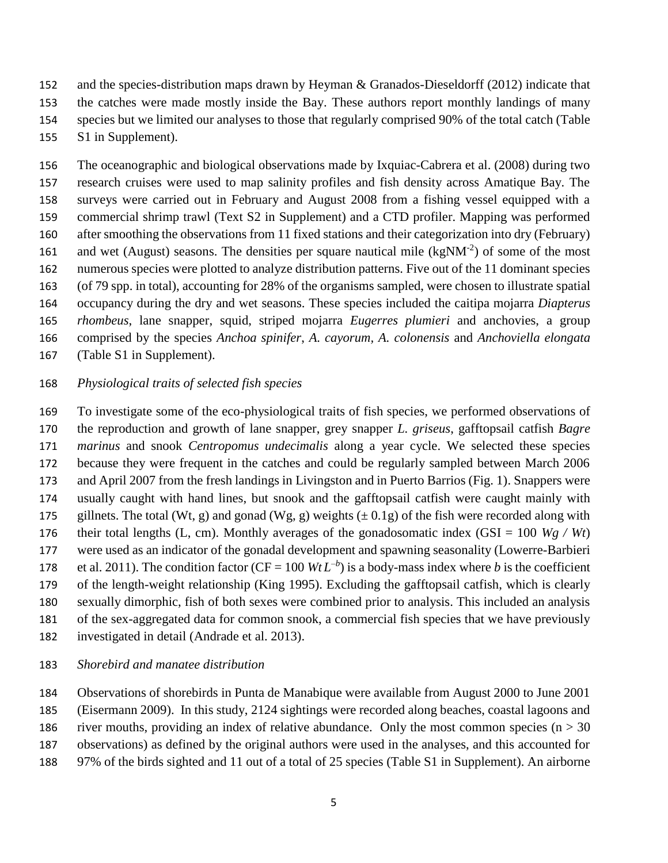and the species-distribution maps drawn by Heyman & Granados-Dieseldorff (2012) indicate that the catches were made mostly inside the Bay. These authors report monthly landings of many species but we limited our analyses to those that regularly comprised 90% of the total catch (Table S1 in Supplement).

 The oceanographic and biological observations made by Ixquiac-Cabrera et al. (2008) during two research cruises were used to map salinity profiles and fish density across Amatique Bay. The surveys were carried out in February and August 2008 from a fishing vessel equipped with a commercial shrimp trawl (Text S2 in Supplement) and a CTD profiler. Mapping was performed after smoothing the observations from 11 fixed stations and their categorization into dry (February) 161 and wet (August) seasons. The densities per square nautical mile  $(kgNM^{-2})$  of some of the most numerous species were plotted to analyze distribution patterns. Five out of the 11 dominant species (of 79 spp. in total), accounting for 28% of the organisms sampled, were chosen to illustrate spatial occupancy during the dry and wet seasons. These species included the caitipa mojarra *Diapterus rhombeus*, lane snapper, squid, striped mojarra *Eugerres plumieri* and anchovies, a group comprised by the species *Anchoa spinifer*, *A. cayorum, A. colonensis* and *Anchoviella elongata* (Table S1 in Supplement).

### *Physiological traits of selected fish species*

 To investigate some of the eco-physiological traits of fish species, we performed observations of the reproduction and growth of lane snapper, grey snapper *L. griseus*, gafftopsail catfish *Bagre marinus* and snook *Centropomus undecimalis* along a year cycle. We selected these species because they were frequent in the catches and could be regularly sampled between March 2006 and April 2007 from the fresh landings in Livingston and in Puerto Barrios (Fig. 1). Snappers were usually caught with hand lines, but snook and the gafftopsail catfish were caught mainly with 175 gillnets. The total (Wt, g) and gonad (Wg, g) weights  $(\pm 0.1g)$  of the fish were recorded along with 176 their total lengths (L, cm). Monthly averages of the gonadosomatic index  $(GSI = 100 Wg / Wt)$  were used as an indicator of the gonadal development and spawning seasonality (Lowerre-Barbieri 178 et al. 2011). The condition factor (CF = 100  $WtL^{-b}$ ) is a body-mass index where *b* is the coefficient of the length-weight relationship (King 1995). Excluding the gafftopsail catfish, which is clearly sexually dimorphic, fish of both sexes were combined prior to analysis. This included an analysis of the sex-aggregated data for common snook, a commercial fish species that we have previously

investigated in detail (Andrade et al. 2013).

## *Shorebird and manatee distribution*

Observations of shorebirds in Punta de Manabique were available from August 2000 to June 2001

(Eisermann 2009). In this study, 2124 sightings were recorded along beaches, coastal lagoons and

- 186 river mouths, providing an index of relative abundance. Only the most common species ( $n > 30$
- observations) as defined by the original authors were used in the analyses, and this accounted for
- 97% of the birds sighted and 11 out of a total of 25 species (Table S1 in Supplement). An airborne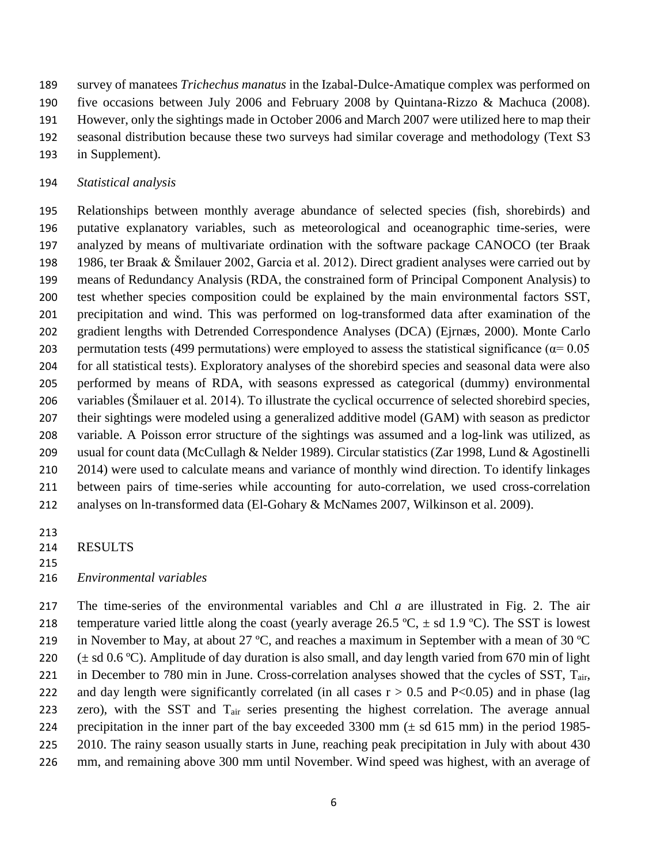survey of manatees *Trichechus manatus* in the Izabal-Dulce-Amatique complex was performed on

- five occasions between July 2006 and February 2008 by Quintana-Rizzo & Machuca (2008).
- However, only the sightings made in October 2006 and March 2007 were utilized here to map their
- seasonal distribution because these two surveys had similar coverage and methodology (Text S3
- in Supplement).

# *Statistical analysis*

 Relationships between monthly average abundance of selected species (fish, shorebirds) and putative explanatory variables, such as meteorological and oceanographic time-series, were analyzed by means of multivariate ordination with the software package CANOCO (ter Braak 1986, ter Braak & Šmilauer 2002, Garcia et al. 2012). Direct gradient analyses were carried out by means of Redundancy Analysis (RDA, the constrained form of Principal Component Analysis) to test whether species composition could be explained by the main environmental factors SST, precipitation and wind. This was performed on log-transformed data after examination of the gradient lengths with Detrended Correspondence Analyses (DCA) (Ejrnæs, 2000). Monte Carlo 203 permutation tests (499 permutations) were employed to assess the statistical significance ( $\alpha$ = 0.05 for all statistical tests). Exploratory analyses of the shorebird species and seasonal data were also performed by means of RDA, with seasons expressed as categorical (dummy) environmental variables (Šmilauer et al. 2014). To illustrate the cyclical occurrence of selected shorebird species, their sightings were modeled using a generalized additive model (GAM) with season as predictor variable. A Poisson error structure of the sightings was assumed and a log-link was utilized, as usual for count data (McCullagh & Nelder 1989). Circular statistics (Zar 1998, Lund & Agostinelli 210 2014) were used to calculate means and variance of monthly wind direction. To identify linkages between pairs of time-series while accounting for auto-correlation, we used cross-correlation analyses on ln-transformed data (El-Gohary & McNames 2007, Wilkinson et al. 2009).

- RESULTS
- 

# *Environmental variables*

 The time-series of the environmental variables and Chl *a* are illustrated in Fig. 2. The air 218 temperature varied little along the coast (yearly average 26.5 °C,  $\pm$  sd 1.9 °C). The SST is lowest 219 in November to May, at about 27 °C, and reaches a maximum in September with a mean of 30 °C 220  $(\pm \text{ sd } 0.6 \text{ °C})$ . Amplitude of day duration is also small, and day length varied from 670 min of light 221 in December to 780 min in June. Cross-correlation analyses showed that the cycles of SST, T<sub>air</sub>, 222 and day length were significantly correlated (in all cases  $r > 0.5$  and P<0.05) and in phase (lag 223 zero), with the SST and T<sub>air</sub> series presenting the highest correlation. The average annual precipitation in the inner part of the bay exceeded 3300 mm (± sd 615 mm) in the period 1985- 2010. The rainy season usually starts in June, reaching peak precipitation in July with about 430 mm, and remaining above 300 mm until November. Wind speed was highest, with an average of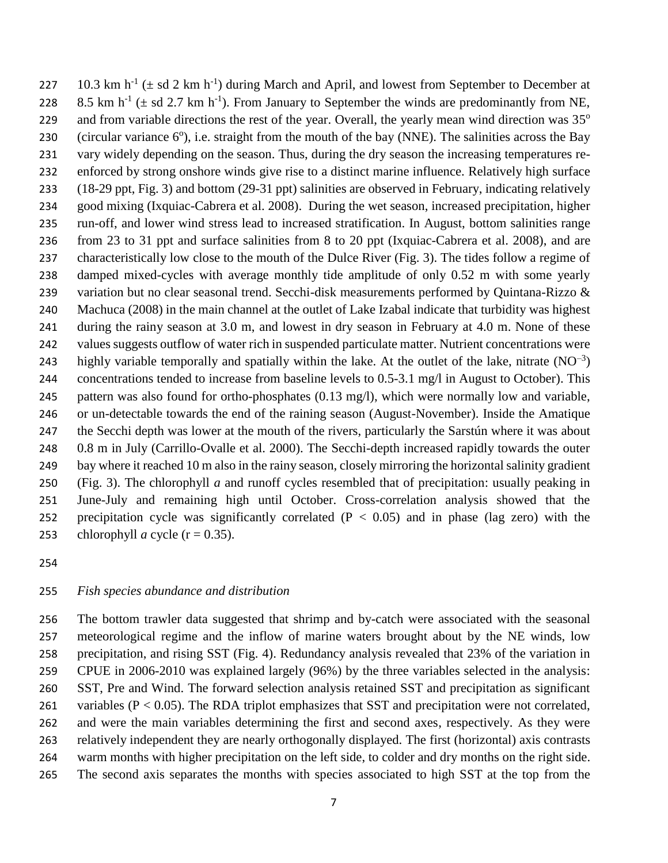227 10.3 km h<sup>-1</sup> ( $\pm$  sd 2 km h<sup>-1</sup>) during March and April, and lowest from September to December at 228 8.5 km h<sup>-1</sup> ( $\pm$  sd 2.7 km h<sup>-1</sup>). From January to September the winds are predominantly from NE, and from variable directions the rest of the year. Overall, the yearly mean wind direction was 35° 230 (circular variance  $6^{\circ}$ ), i.e. straight from the mouth of the bay (NNE). The salinities across the Bay vary widely depending on the season. Thus, during the dry season the increasing temperatures re- enforced by strong onshore winds give rise to a distinct marine influence. Relatively high surface (18-29 ppt, Fig. 3) and bottom (29-31 ppt) salinities are observed in February, indicating relatively good mixing (Ixquiac-Cabrera et al. 2008). During the wet season, increased precipitation, higher run-off, and lower wind stress lead to increased stratification. In August, bottom salinities range from 23 to 31 ppt and surface salinities from 8 to 20 ppt (Ixquiac-Cabrera et al. 2008), and are characteristically low close to the mouth of the Dulce River (Fig. 3). The tides follow a regime of damped mixed-cycles with average monthly tide amplitude of only 0.52 m with some yearly 239 variation but no clear seasonal trend. Secchi-disk measurements performed by Quintana-Rizzo & Machuca (2008) in the main channel at the outlet of Lake Izabal indicate that turbidity was highest during the rainy season at 3.0 m, and lowest in dry season in February at 4.0 m. None of these 242 values suggests outflow of water rich in suspended particulate matter. Nutrient concentrations were 243 highly variable temporally and spatially within the lake. At the outlet of the lake, nitrate  $(NO^{-3})$  concentrations tended to increase from baseline levels to 0.5-3.1 mg/l in August to October). This pattern was also found for ortho-phosphates (0.13 mg/l), which were normally low and variable, or un-detectable towards the end of the raining season (August-November). Inside the Amatique the Secchi depth was lower at the mouth of the rivers, particularly the Sarstún where it was about 0.8 m in July (Carrillo-Ovalle et al. 2000). The Secchi-depth increased rapidly towards the outer bay where it reached 10 m also in the rainy season, closely mirroring the horizontal salinity gradient (Fig. 3). The chlorophyll *a* and runoff cycles resembled that of precipitation: usually peaking in June-July and remaining high until October. Cross-correlation analysis showed that the 252 precipitation cycle was significantly correlated  $(P < 0.05)$  and in phase (lag zero) with the 253 chlorophyll *a* cycle  $(r = 0.35)$ .

#### *Fish species abundance and distribution*

 The bottom trawler data suggested that shrimp and by-catch were associated with the seasonal meteorological regime and the inflow of marine waters brought about by the NE winds, low precipitation, and rising SST (Fig. 4). Redundancy analysis revealed that 23% of the variation in CPUE in 2006-2010 was explained largely (96%) by the three variables selected in the analysis: SST, Pre and Wind. The forward selection analysis retained SST and precipitation as significant 261 variables (P < 0.05). The RDA triplot emphasizes that SST and precipitation were not correlated, and were the main variables determining the first and second axes, respectively. As they were relatively independent they are nearly orthogonally displayed. The first (horizontal) axis contrasts warm months with higher precipitation on the left side, to colder and dry months on the right side. The second axis separates the months with species associated to high SST at the top from the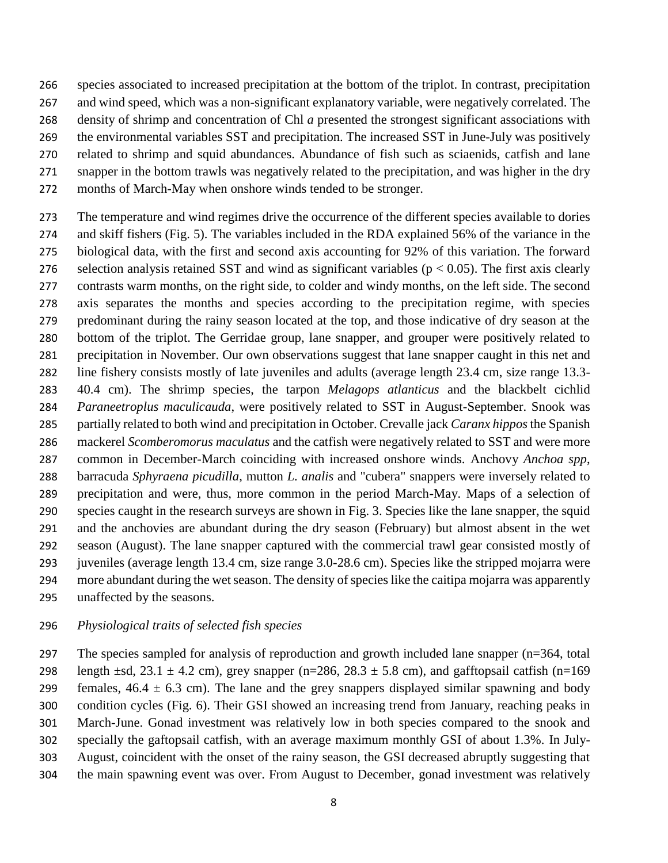species associated to increased precipitation at the bottom of the triplot. In contrast, precipitation and wind speed, which was a non-significant explanatory variable, were negatively correlated. The density of shrimp and concentration of Chl *a* presented the strongest significant associations with the environmental variables SST and precipitation. The increased SST in June-July was positively related to shrimp and squid abundances. Abundance of fish such as sciaenids, catfish and lane snapper in the bottom trawls was negatively related to the precipitation, and was higher in the dry months of March-May when onshore winds tended to be stronger.

 The temperature and wind regimes drive the occurrence of the different species available to dories and skiff fishers (Fig. 5). The variables included in the RDA explained 56% of the variance in the biological data, with the first and second axis accounting for 92% of this variation. The forward 276 selection analysis retained SST and wind as significant variables ( $p < 0.05$ ). The first axis clearly contrasts warm months, on the right side, to colder and windy months, on the left side. The second axis separates the months and species according to the precipitation regime, with species predominant during the rainy season located at the top, and those indicative of dry season at the bottom of the triplot. The Gerridae group, lane snapper, and grouper were positively related to precipitation in November. Our own observations suggest that lane snapper caught in this net and line fishery consists mostly of late juveniles and adults (average length 23.4 cm, size range 13.3- 40.4 cm). The shrimp species, the tarpon *Melagops atlanticus* and the blackbelt cichlid *Paraneetroplus maculicauda*, were positively related to SST in August-September. Snook was partially related to both wind and precipitation in October. Crevalle jack *Caranx hippos*the Spanish mackerel *Scomberomorus maculatus* and the catfish were negatively related to SST and were more common in December-March coinciding with increased onshore winds. Anchovy *Anchoa spp*, barracuda *Sphyraena picudilla*, mutton *L. analis* and "cubera" snappers were inversely related to precipitation and were, thus, more common in the period March-May. Maps of a selection of species caught in the research surveys are shown in Fig. 3. Species like the lane snapper, the squid and the anchovies are abundant during the dry season (February) but almost absent in the wet season (August). The lane snapper captured with the commercial trawl gear consisted mostly of juveniles (average length 13.4 cm, size range 3.0-28.6 cm). Species like the stripped mojarra were more abundant during the wet season. The density of species like the caitipa mojarra was apparently unaffected by the seasons.

#### *Physiological traits of selected fish species*

 The species sampled for analysis of reproduction and growth included lane snapper (n=364, total 298 length  $\pm$ sd, 23.1  $\pm$  4.2 cm), grey snapper (n=286, 28.3  $\pm$  5.8 cm), and gafftopsail catfish (n=169 299 females,  $46.4 \pm 6.3$  cm). The lane and the grey snappers displayed similar spawning and body condition cycles (Fig. 6). Their GSI showed an increasing trend from January, reaching peaks in March-June. Gonad investment was relatively low in both species compared to the snook and specially the gaftopsail catfish, with an average maximum monthly GSI of about 1.3%. In July- August, coincident with the onset of the rainy season, the GSI decreased abruptly suggesting that the main spawning event was over. From August to December, gonad investment was relatively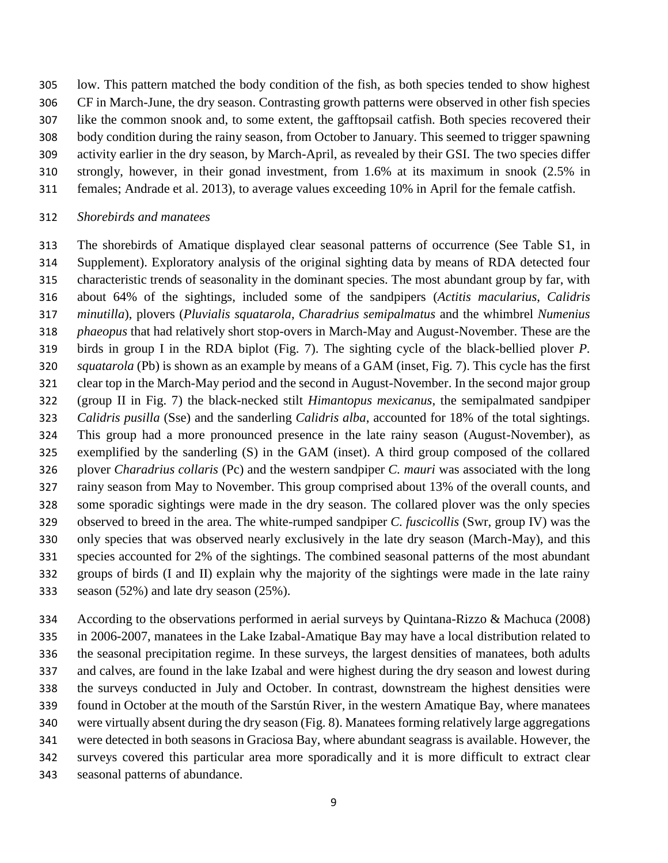low. This pattern matched the body condition of the fish, as both species tended to show highest

CF in March-June, the dry season. Contrasting growth patterns were observed in other fish species

like the common snook and, to some extent, the gafftopsail catfish. Both species recovered their

body condition during the rainy season, from October to January. This seemed to trigger spawning

- activity earlier in the dry season, by March-April, as revealed by their GSI. The two species differ
- strongly, however, in their gonad investment, from 1.6% at its maximum in snook (2.5% in
	- females; Andrade et al. 2013), to average values exceeding 10% in April for the female catfish.

# *Shorebirds and manatees*

 The shorebirds of Amatique displayed clear seasonal patterns of occurrence (See Table S1, in Supplement). Exploratory analysis of the original sighting data by means of RDA detected four characteristic trends of seasonality in the dominant species. The most abundant group by far, with about 64% of the sightings, included some of the sandpipers (*Actitis macularius*, *Calidris minutilla*), plovers (*Pluvialis squatarola*, *Charadrius semipalmatus* and the whimbrel *Numenius phaeopus* that had relatively short stop-overs in March-May and August-November. These are the birds in group I in the RDA biplot (Fig. 7). The sighting cycle of the black-bellied plover *P. squatarola* (Pb) is shown as an example by means of a GAM (inset, Fig. 7). This cycle has the first clear top in the March-May period and the second in August-November. In the second major group (group II in Fig. 7) the black-necked stilt *Himantopus mexicanus*, the semipalmated sandpiper *Calidris pusilla* (Sse) and the sanderling *Calidris alba*, accounted for 18% of the total sightings. This group had a more pronounced presence in the late rainy season (August-November), as exemplified by the sanderling (S) in the GAM (inset). A third group composed of the collared plover *Charadrius collaris* (Pc) and the western sandpiper *C. mauri* was associated with the long rainy season from May to November. This group comprised about 13% of the overall counts, and some sporadic sightings were made in the dry season. The collared plover was the only species observed to breed in the area. The white-rumped sandpiper *C. fuscicollis* (Swr, group IV) was the only species that was observed nearly exclusively in the late dry season (March-May), and this species accounted for 2% of the sightings. The combined seasonal patterns of the most abundant groups of birds (I and II) explain why the majority of the sightings were made in the late rainy season (52%) and late dry season (25%).

 According to the observations performed in aerial surveys by Quintana-Rizzo & Machuca (2008) in 2006-2007, manatees in the Lake Izabal-Amatique Bay may have a local distribution related to the seasonal precipitation regime. In these surveys, the largest densities of manatees, both adults and calves, are found in the lake Izabal and were highest during the dry season and lowest during the surveys conducted in July and October. In contrast, downstream the highest densities were found in October at the mouth of the Sarstún River, in the western Amatique Bay, where manatees were virtually absent during the dry season (Fig. 8). Manatees forming relatively large aggregations were detected in both seasons in Graciosa Bay, where abundant seagrass is available. However, the surveys covered this particular area more sporadically and it is more difficult to extract clear seasonal patterns of abundance.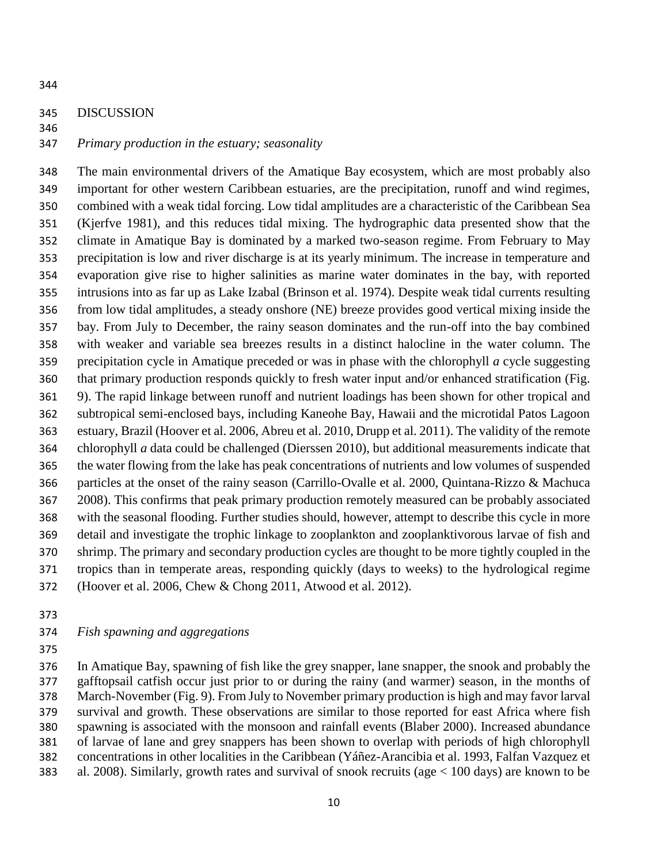#### DISCUSSION

### *Primary production in the estuary; seasonality*

 The main environmental drivers of the Amatique Bay ecosystem, which are most probably also important for other western Caribbean estuaries, are the precipitation, runoff and wind regimes, combined with a weak tidal forcing. Low tidal amplitudes are a characteristic of the Caribbean Sea (Kjerfve 1981), and this reduces tidal mixing. The hydrographic data presented show that the climate in Amatique Bay is dominated by a marked two-season regime. From February to May precipitation is low and river discharge is at its yearly minimum. The increase in temperature and evaporation give rise to higher salinities as marine water dominates in the bay, with reported intrusions into as far up as Lake Izabal (Brinson et al. 1974). Despite weak tidal currents resulting from low tidal amplitudes, a steady onshore (NE) breeze provides good vertical mixing inside the bay. From July to December, the rainy season dominates and the run-off into the bay combined with weaker and variable sea breezes results in a distinct halocline in the water column. The precipitation cycle in Amatique preceded or was in phase with the chlorophyll *a* cycle suggesting that primary production responds quickly to fresh water input and/or enhanced stratification (Fig. 9). The rapid linkage between runoff and nutrient loadings has been shown for other tropical and subtropical semi-enclosed bays, including Kaneohe Bay, Hawaii and the microtidal Patos Lagoon estuary, Brazil (Hoover et al. 2006, Abreu et al. 2010, Drupp et al. 2011). The validity of the remote chlorophyll *a* data could be challenged (Dierssen 2010), but additional measurements indicate that the water flowing from the lake has peak concentrations of nutrients and low volumes of suspended particles at the onset of the rainy season (Carrillo-Ovalle et al. 2000, Quintana-Rizzo & Machuca 2008). This confirms that peak primary production remotely measured can be probably associated with the seasonal flooding. Further studies should, however, attempt to describe this cycle in more detail and investigate the trophic linkage to zooplankton and zooplanktivorous larvae of fish and shrimp. The primary and secondary production cycles are thought to be more tightly coupled in the tropics than in temperate areas, responding quickly (days to weeks) to the hydrological regime (Hoover et al. 2006, Chew & Chong 2011, Atwood et al. 2012).

### *Fish spawning and aggregations*

 In Amatique Bay, spawning of fish like the grey snapper, lane snapper, the snook and probably the gafftopsail catfish occur just prior to or during the rainy (and warmer) season, in the months of March-November (Fig. 9). From July to November primary production is high and may favor larval survival and growth. These observations are similar to those reported for east Africa where fish spawning is associated with the monsoon and rainfall events (Blaber 2000). Increased abundance of larvae of lane and grey snappers has been shown to overlap with periods of high chlorophyll concentrations in other localities in the Caribbean (Yáñez-Arancibia et al. 1993, Falfan Vazquez et al. 2008). Similarly, growth rates and survival of snook recruits (age < 100 days) are known to be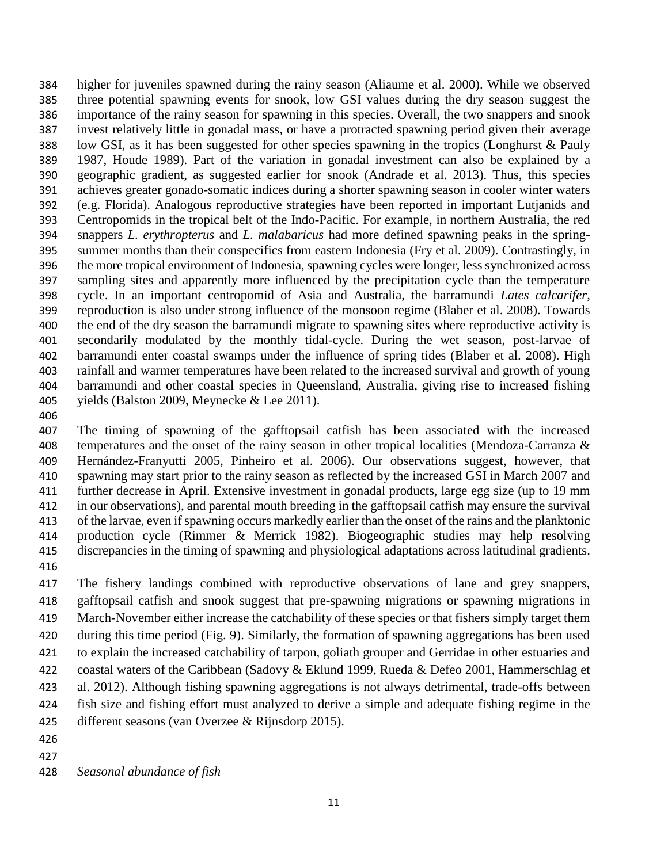higher for juveniles spawned during the rainy season (Aliaume et al. 2000). While we observed three potential spawning events for snook, low GSI values during the dry season suggest the importance of the rainy season for spawning in this species. Overall, the two snappers and snook invest relatively little in gonadal mass, or have a protracted spawning period given their average low GSI, as it has been suggested for other species spawning in the tropics (Longhurst & Pauly 1987, Houde 1989). Part of the variation in gonadal investment can also be explained by a geographic gradient, as suggested earlier for snook (Andrade et al. 2013). Thus, this species achieves greater gonado-somatic indices during a shorter spawning season in cooler winter waters (e.g. Florida). Analogous reproductive strategies have been reported in important Lutjanids and Centropomids in the tropical belt of the Indo-Pacific. For example, in northern Australia, the red snappers *L. erythropterus* and *L. malabaricus* had more defined spawning peaks in the spring- summer months than their conspecifics from eastern Indonesia (Fry et al. 2009). Contrastingly, in the more tropical environment of Indonesia, spawning cycles were longer, less synchronized across sampling sites and apparently more influenced by the precipitation cycle than the temperature cycle. In an important centropomid of Asia and Australia, the barramundi *Lates calcarifer,* reproduction is also under strong influence of the monsoon regime (Blaber et al. 2008). Towards the end of the dry season the barramundi migrate to spawning sites where reproductive activity is secondarily modulated by the monthly tidal-cycle. During the wet season, post-larvae of barramundi enter coastal swamps under the influence of spring tides (Blaber et al. 2008). High rainfall and warmer temperatures have been related to the increased survival and growth of young barramundi and other coastal species in Queensland, Australia, giving rise to increased fishing yields (Balston 2009, Meynecke & Lee 2011).

 The timing of spawning of the gafftopsail catfish has been associated with the increased 408 temperatures and the onset of the rainy season in other tropical localities (Mendoza-Carranza & Hernández-Franyutti 2005, Pinheiro et al. 2006). Our observations suggest, however, that spawning may start prior to the rainy season as reflected by the increased GSI in March 2007 and further decrease in April. Extensive investment in gonadal products, large egg size (up to 19 mm in our observations), and parental mouth breeding in the gafftopsail catfish may ensure the survival of the larvae, even if spawning occurs markedly earlier than the onset of the rains and the planktonic production cycle (Rimmer & Merrick 1982). Biogeographic studies may help resolving discrepancies in the timing of spawning and physiological adaptations across latitudinal gradients. 

 The fishery landings combined with reproductive observations of lane and grey snappers, gafftopsail catfish and snook suggest that pre-spawning migrations or spawning migrations in March-November either increase the catchability of these species or that fishers simply target them during this time period (Fig. 9). Similarly, the formation of spawning aggregations has been used to explain the increased catchability of tarpon, goliath grouper and Gerridae in other estuaries and 422 coastal waters of the Caribbean (Sadovy & Eklund 1999, Rueda & Defeo 2001, Hammerschlag et al. 2012). Although fishing spawning aggregations is not always detrimental, trade-offs between fish size and fishing effort must analyzed to derive a simple and adequate fishing regime in the different seasons (van Overzee & Rijnsdorp 2015).

- 
- 

*Seasonal abundance of fish*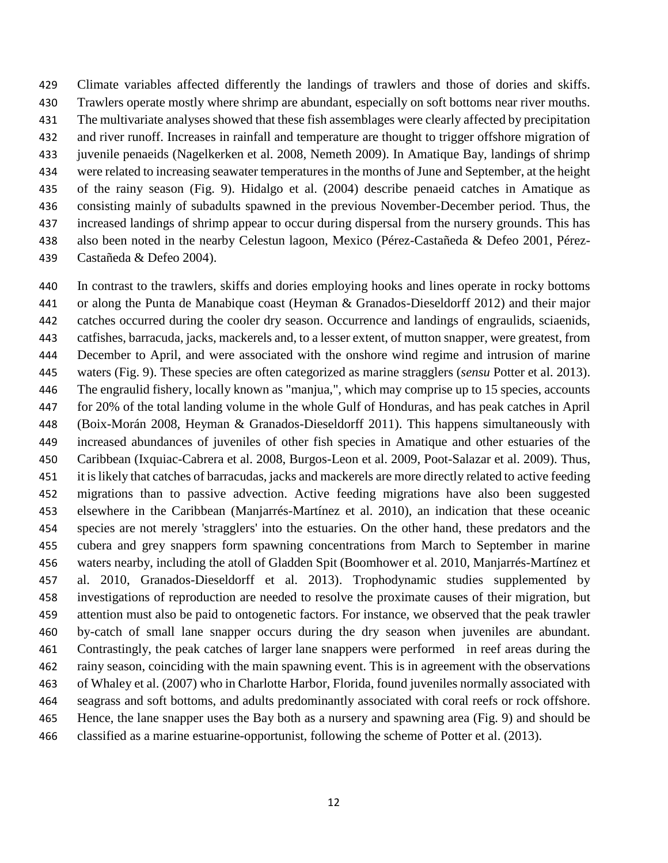Climate variables affected differently the landings of trawlers and those of dories and skiffs. Trawlers operate mostly where shrimp are abundant, especially on soft bottoms near river mouths. The multivariate analyses showed that these fish assemblages were clearly affected by precipitation and river runoff. Increases in rainfall and temperature are thought to trigger offshore migration of juvenile penaeids (Nagelkerken et al. 2008, Nemeth 2009). In Amatique Bay, landings of shrimp were related to increasing seawater temperatures in the months of June and September, at the height of the rainy season (Fig. 9). Hidalgo et al. (2004) describe penaeid catches in Amatique as consisting mainly of subadults spawned in the previous November-December period. Thus, the increased landings of shrimp appear to occur during dispersal from the nursery grounds. This has also been noted in the nearby Celestun lagoon, Mexico (Pérez-Castañeda & Defeo 2001, Pérez-Castañeda & Defeo 2004).

 In contrast to the trawlers, skiffs and dories employing hooks and lines operate in rocky bottoms or along the Punta de Manabique coast (Heyman & Granados-Dieseldorff 2012) and their major catches occurred during the cooler dry season. Occurrence and landings of engraulids, sciaenids, catfishes, barracuda, jacks, mackerels and, to a lesser extent, of mutton snapper, were greatest, from December to April, and were associated with the onshore wind regime and intrusion of marine waters (Fig. 9). These species are often categorized as marine stragglers (*sensu* Potter et al. 2013). The engraulid fishery, locally known as "manjua,", which may comprise up to 15 species, accounts for 20% of the total landing volume in the whole Gulf of Honduras, and has peak catches in April (Boix-Morán 2008, Heyman & Granados-Dieseldorff 2011). This happens simultaneously with increased abundances of juveniles of other fish species in Amatique and other estuaries of the Caribbean (Ixquiac-Cabrera et al. 2008, Burgos-Leon et al. 2009, Poot-Salazar et al. 2009). Thus, it islikely that catches of barracudas, jacks and mackerels are more directly related to active feeding migrations than to passive advection. Active feeding migrations have also been suggested elsewhere in the Caribbean (Manjarrés-Martínez et al. 2010), an indication that these oceanic species are not merely 'stragglers' into the estuaries. On the other hand, these predators and the cubera and grey snappers form spawning concentrations from March to September in marine waters nearby, including the atoll of Gladden Spit (Boomhower et al. 2010, Manjarrés-Martínez et al. 2010, Granados-Dieseldorff et al. 2013). Trophodynamic studies supplemented by investigations of reproduction are needed to resolve the proximate causes of their migration, but attention must also be paid to ontogenetic factors. For instance, we observed that the peak trawler by-catch of small lane snapper occurs during the dry season when juveniles are abundant. Contrastingly, the peak catches of larger lane snappers were performed in reef areas during the rainy season, coinciding with the main spawning event. This is in agreement with the observations of Whaley et al. (2007) who in Charlotte Harbor, Florida, found juveniles normally associated with seagrass and soft bottoms, and adults predominantly associated with coral reefs or rock offshore. Hence, the lane snapper uses the Bay both as a nursery and spawning area (Fig. 9) and should be classified as a marine estuarine-opportunist, following the scheme of Potter et al. (2013).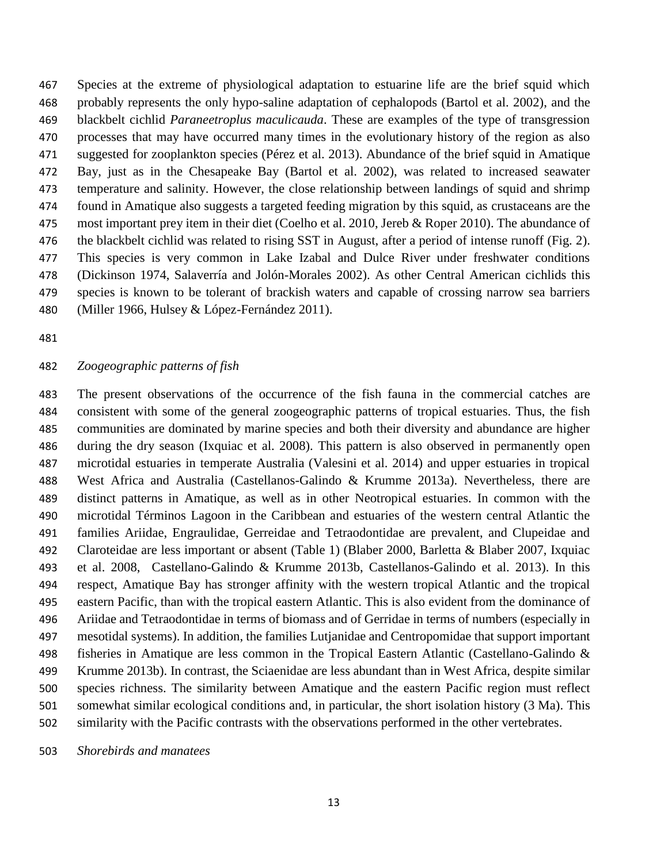Species at the extreme of physiological adaptation to estuarine life are the brief squid which probably represents the only hypo-saline adaptation of cephalopods (Bartol et al. 2002), and the blackbelt cichlid *Paraneetroplus maculicauda*. These are examples of the type of transgression processes that may have occurred many times in the evolutionary history of the region as also suggested for zooplankton species (Pérez et al. 2013). Abundance of the brief squid in Amatique Bay, just as in the Chesapeake Bay (Bartol et al. 2002), was related to increased seawater temperature and salinity. However, the close relationship between landings of squid and shrimp found in Amatique also suggests a targeted feeding migration by this squid, as crustaceans are the 475 most important prey item in their diet (Coelho et al. 2010, Jereb & Roper 2010). The abundance of the blackbelt cichlid was related to rising SST in August, after a period of intense runoff (Fig. 2). This species is very common in Lake Izabal and Dulce River under freshwater conditions (Dickinson 1974, Salaverría and Jolón-Morales 2002). As other Central American cichlids this species is known to be tolerant of brackish waters and capable of crossing narrow sea barriers (Miller 1966, Hulsey & López-Fernández 2011).

#### *Zoogeographic patterns of fish*

 The present observations of the occurrence of the fish fauna in the commercial catches are consistent with some of the general zoogeographic patterns of tropical estuaries. Thus, the fish communities are dominated by marine species and both their diversity and abundance are higher during the dry season (Ixquiac et al. 2008). This pattern is also observed in permanently open microtidal estuaries in temperate Australia (Valesini et al. 2014) and upper estuaries in tropical West Africa and Australia (Castellanos-Galindo & Krumme 2013a). Nevertheless, there are distinct patterns in Amatique, as well as in other Neotropical estuaries. In common with the microtidal Términos Lagoon in the Caribbean and estuaries of the western central Atlantic the families Ariidae, Engraulidae, Gerreidae and Tetraodontidae are prevalent, and Clupeidae and Claroteidae are less important or absent (Table 1) (Blaber 2000, Barletta & Blaber 2007, Ixquiac et al. 2008, Castellano-Galindo & Krumme 2013b, Castellanos-Galindo et al. 2013). In this respect, Amatique Bay has stronger affinity with the western tropical Atlantic and the tropical eastern Pacific, than with the tropical eastern Atlantic. This is also evident from the dominance of Ariidae and Tetraodontidae in terms of biomass and of Gerridae in terms of numbers (especially in mesotidal systems). In addition, the families Lutjanidae and Centropomidae that support important fisheries in Amatique are less common in the Tropical Eastern Atlantic (Castellano-Galindo & Krumme 2013b). In contrast, the Sciaenidae are less abundant than in West Africa, despite similar species richness. The similarity between Amatique and the eastern Pacific region must reflect somewhat similar ecological conditions and, in particular, the short isolation history (3 Ma). This similarity with the Pacific contrasts with the observations performed in the other vertebrates.

*Shorebirds and manatees*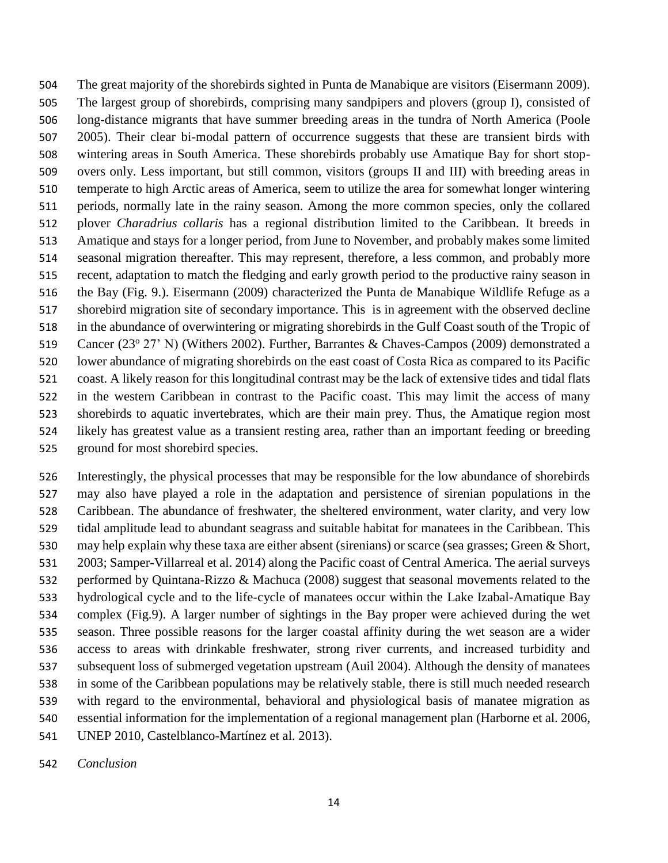The great majority of the shorebirds sighted in Punta de Manabique are visitors (Eisermann 2009). The largest group of shorebirds, comprising many sandpipers and plovers (group I), consisted of long-distance migrants that have summer breeding areas in the tundra of North America (Poole 2005). Their clear bi-modal pattern of occurrence suggests that these are transient birds with wintering areas in South America. These shorebirds probably use Amatique Bay for short stop- overs only. Less important, but still common, visitors (groups II and III) with breeding areas in temperate to high Arctic areas of America, seem to utilize the area for somewhat longer wintering periods, normally late in the rainy season. Among the more common species, only the collared plover *Charadrius collaris* has a regional distribution limited to the Caribbean. It breeds in Amatique and stays for a longer period, from June to November, and probably makes some limited seasonal migration thereafter. This may represent, therefore, a less common, and probably more recent, adaptation to match the fledging and early growth period to the productive rainy season in the Bay (Fig. 9.). Eisermann (2009) characterized the Punta de Manabique Wildlife Refuge as a shorebird migration site of secondary importance. This is in agreement with the observed decline in the abundance of overwintering or migrating shorebirds in the Gulf Coast south of the Tropic of 519 Cancer (23° 27' N) (Withers 2002). Further, Barrantes & Chaves-Campos (2009) demonstrated a lower abundance of migrating shorebirds on the east coast of Costa Rica as compared to its Pacific coast. A likely reason for this longitudinal contrast may be the lack of extensive tides and tidal flats in the western Caribbean in contrast to the Pacific coast. This may limit the access of many shorebirds to aquatic invertebrates, which are their main prey. Thus, the Amatique region most likely has greatest value as a transient resting area, rather than an important feeding or breeding ground for most shorebird species.

 Interestingly, the physical processes that may be responsible for the low abundance of shorebirds may also have played a role in the adaptation and persistence of sirenian populations in the Caribbean. The abundance of freshwater, the sheltered environment, water clarity, and very low tidal amplitude lead to abundant seagrass and suitable habitat for manatees in the Caribbean. This may help explain why these taxa are either absent (sirenians) or scarce (sea grasses; Green & Short, 2003; Samper-Villarreal et al. 2014) along the Pacific coast of Central America. The aerial surveys performed by Quintana-Rizzo & Machuca (2008) suggest that seasonal movements related to the hydrological cycle and to the life-cycle of manatees occur within the Lake Izabal-Amatique Bay complex (Fig.9). A larger number of sightings in the Bay proper were achieved during the wet season. Three possible reasons for the larger coastal affinity during the wet season are a wider access to areas with drinkable freshwater, strong river currents, and increased turbidity and subsequent loss of submerged vegetation upstream (Auil 2004). Although the density of manatees in some of the Caribbean populations may be relatively stable, there is still much needed research with regard to the environmental, behavioral and physiological basis of manatee migration as essential information for the implementation of a regional management plan (Harborne et al. 2006, UNEP 2010, Castelblanco-Martínez et al. 2013).

*Conclusion*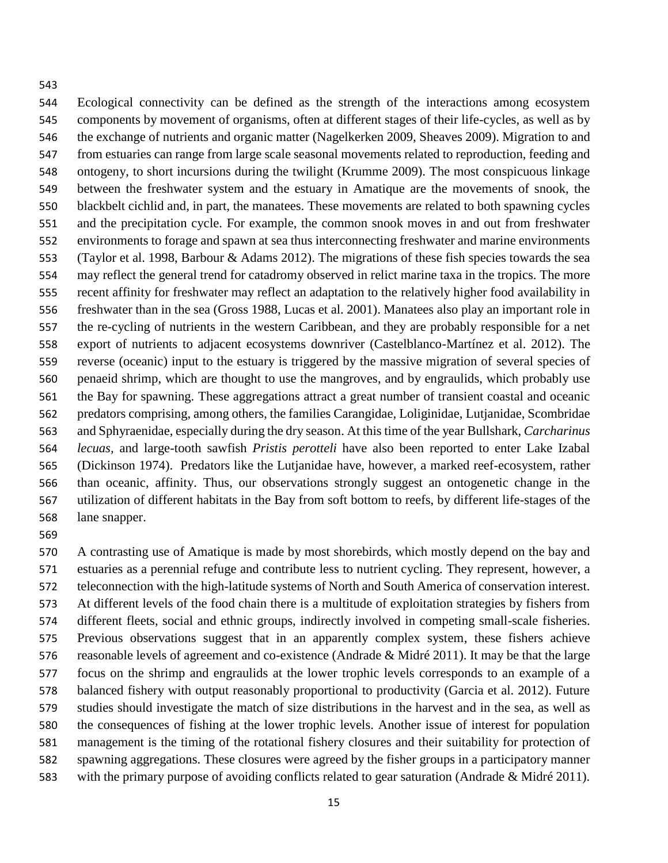Ecological connectivity can be defined as the strength of the interactions among ecosystem components by movement of organisms, often at different stages of their life-cycles, as well as by the exchange of nutrients and organic matter (Nagelkerken 2009, Sheaves 2009). Migration to and from estuaries can range from large scale seasonal movements related to reproduction, feeding and ontogeny, to short incursions during the twilight (Krumme 2009). The most conspicuous linkage between the freshwater system and the estuary in Amatique are the movements of snook, the blackbelt cichlid and, in part, the manatees. These movements are related to both spawning cycles and the precipitation cycle. For example, the common snook moves in and out from freshwater environments to forage and spawn at sea thus interconnecting freshwater and marine environments (Taylor et al. 1998, Barbour & Adams 2012). The migrations of these fish species towards the sea may reflect the general trend for catadromy observed in relict marine taxa in the tropics. The more recent affinity for freshwater may reflect an adaptation to the relatively higher food availability in freshwater than in the sea (Gross 1988, Lucas et al. 2001). Manatees also play an important role in the re-cycling of nutrients in the western Caribbean, and they are probably responsible for a net export of nutrients to adjacent ecosystems downriver (Castelblanco-Martínez et al. 2012). The reverse (oceanic) input to the estuary is triggered by the massive migration of several species of penaeid shrimp, which are thought to use the mangroves, and by engraulids, which probably use the Bay for spawning. These aggregations attract a great number of transient coastal and oceanic predators comprising, among others, the families Carangidae, Loliginidae, Lutjanidae, Scombridae and Sphyraenidae, especially during the dry season. At this time of the year Bullshark, *Carcharinus lecuas,* and large-tooth sawfish *Pristis perotteli* have also been reported to enter Lake Izabal (Dickinson 1974). Predators like the Lutjanidae have, however, a marked reef-ecosystem, rather than oceanic, affinity. Thus, our observations strongly suggest an ontogenetic change in the utilization of different habitats in the Bay from soft bottom to reefs, by different life-stages of the lane snapper.

 A contrasting use of Amatique is made by most shorebirds, which mostly depend on the bay and estuaries as a perennial refuge and contribute less to nutrient cycling. They represent, however, a teleconnection with the high-latitude systems of North and South America of conservation interest. At different levels of the food chain there is a multitude of exploitation strategies by fishers from different fleets, social and ethnic groups, indirectly involved in competing small-scale fisheries. Previous observations suggest that in an apparently complex system, these fishers achieve reasonable levels of agreement and co-existence (Andrade & Midré 2011). It may be that the large focus on the shrimp and engraulids at the lower trophic levels corresponds to an example of a balanced fishery with output reasonably proportional to productivity (Garcia et al. 2012). Future studies should investigate the match of size distributions in the harvest and in the sea, as well as the consequences of fishing at the lower trophic levels. Another issue of interest for population management is the timing of the rotational fishery closures and their suitability for protection of spawning aggregations. These closures were agreed by the fisher groups in a participatory manner with the primary purpose of avoiding conflicts related to gear saturation (Andrade & Midré 2011).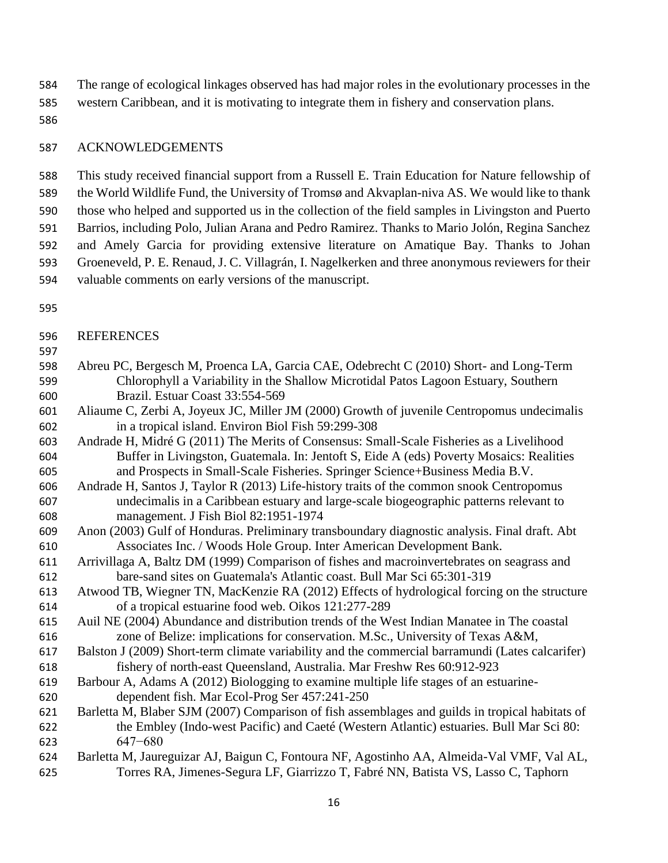The range of ecological linkages observed has had major roles in the evolutionary processes in the

- western Caribbean, and it is motivating to integrate them in fishery and conservation plans.
- 

# ACKNOWLEDGEMENTS

 This study received financial support from a Russell E. Train Education for Nature fellowship of the World Wildlife Fund, the University of Tromsø and Akvaplan-niva AS. We would like to thank those who helped and supported us in the collection of the field samples in Livingston and Puerto Barrios, including Polo, Julian Arana and Pedro Ramirez. Thanks to Mario Jolón, Regina Sanchez and Amely Garcia for providing extensive literature on Amatique Bay. Thanks to Johan Groeneveld, P. E. Renaud, J. C. Villagrán, I. Nagelkerken and three anonymous reviewers for their valuable comments on early versions of the manuscript.

- 
- REFERENCES
- 
- Abreu PC, Bergesch M, Proenca LA, Garcia CAE, Odebrecht C (2010) Short- and Long-Term Chlorophyll a Variability in the Shallow Microtidal Patos Lagoon Estuary, Southern Brazil. Estuar Coast 33:554-569
- Aliaume C, Zerbi A, Joyeux JC, Miller JM (2000) Growth of juvenile Centropomus undecimalis in a tropical island. Environ Biol Fish 59:299-308
- Andrade H, Midré G (2011) The Merits of Consensus: Small-Scale Fisheries as a Livelihood Buffer in Livingston, Guatemala. In: Jentoft S, Eide A (eds) Poverty Mosaics: Realities and Prospects in Small-Scale Fisheries. Springer Science+Business Media B.V.
- Andrade H, Santos J, Taylor R (2013) Life-history traits of the common snook Centropomus undecimalis in a Caribbean estuary and large-scale biogeographic patterns relevant to management. J Fish Biol 82:1951-1974
- Anon (2003) Gulf of Honduras. Preliminary transboundary diagnostic analysis. Final draft. Abt Associates Inc. / Woods Hole Group. Inter American Development Bank.
- Arrivillaga A, Baltz DM (1999) Comparison of fishes and macroinvertebrates on seagrass and bare-sand sites on Guatemala's Atlantic coast. Bull Mar Sci 65:301-319
- Atwood TB, Wiegner TN, MacKenzie RA (2012) Effects of hydrological forcing on the structure of a tropical estuarine food web. Oikos 121:277-289
- Auil NE (2004) Abundance and distribution trends of the West Indian Manatee in The coastal zone of Belize: implications for conservation. M.Sc., University of Texas A&M,
- Balston J (2009) Short-term climate variability and the commercial barramundi (Lates calcarifer) fishery of north-east Queensland, Australia. Mar Freshw Res 60:912-923
- Barbour A, Adams A (2012) Biologging to examine multiple life stages of an estuarine-dependent fish. Mar Ecol-Prog Ser 457:241-250
- Barletta M, Blaber SJM (2007) Comparison of fish assemblages and guilds in tropical habitats of the Embley (Indo-west Pacific) and Caeté (Western Atlantic) estuaries. Bull Mar Sci 80: 647−680
- Barletta M, Jaureguizar AJ, Baigun C, Fontoura NF, Agostinho AA, Almeida-Val VMF, Val AL, Torres RA, Jimenes-Segura LF, Giarrizzo T, Fabré NN, Batista VS, Lasso C, Taphorn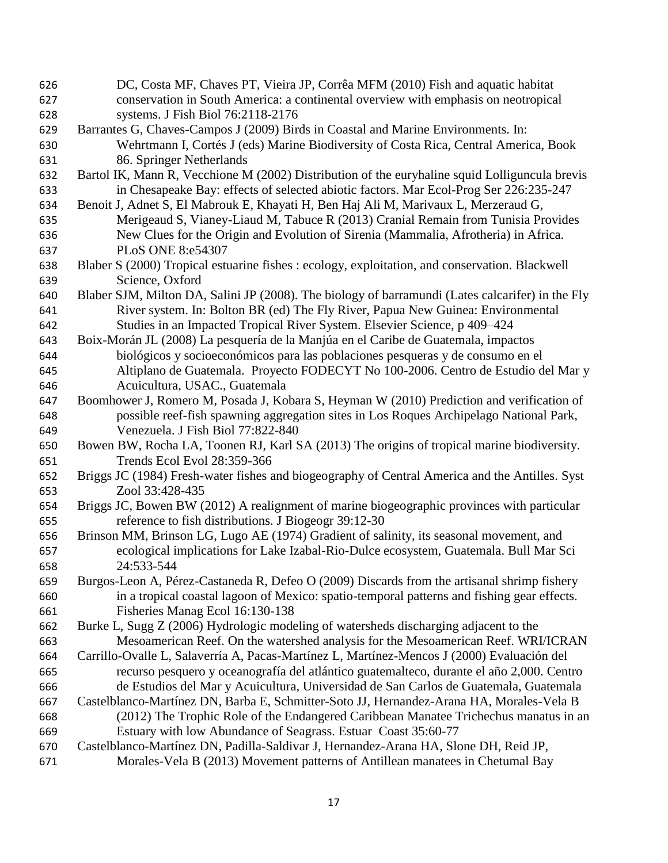DC, Costa MF, Chaves PT, Vieira JP, Corrêa MFM (2010) Fish and aquatic habitat conservation in South America: a continental overview with emphasis on neotropical systems. J Fish Biol 76:2118-2176 Barrantes G, Chaves-Campos J (2009) Birds in Coastal and Marine Environments. In: Wehrtmann I, Cortés J (eds) Marine Biodiversity of Costa Rica, Central America, Book 86. Springer Netherlands Bartol IK, Mann R, Vecchione M (2002) Distribution of the euryhaline squid Lolliguncula brevis in Chesapeake Bay: effects of selected abiotic factors. Mar Ecol-Prog Ser 226:235-247 Benoit J, Adnet S, El Mabrouk E, Khayati H, Ben Haj Ali M, Marivaux L, Merzeraud G, Merigeaud S, Vianey-Liaud M, Tabuce R (2013) Cranial Remain from Tunisia Provides New Clues for the Origin and Evolution of Sirenia (Mammalia, Afrotheria) in Africa. PLoS ONE 8:e54307 Blaber S (2000) Tropical estuarine fishes : ecology, exploitation, and conservation. Blackwell Science, Oxford Blaber SJM, Milton DA, Salini JP (2008). The biology of barramundi (Lates calcarifer) in the Fly River system. In: Bolton BR (ed) The Fly River, Papua New Guinea: Environmental Studies in an Impacted Tropical River System. Elsevier Science, p 409–424 Boix-Morán JL (2008) La pesquería de la Manjúa en el Caribe de Guatemala, impactos biológicos y socioeconómicos para las poblaciones pesqueras y de consumo en el Altiplano de Guatemala. Proyecto FODECYT No 100-2006. Centro de Estudio del Mar y Acuicultura, USAC., Guatemala Boomhower J, Romero M, Posada J, Kobara S, Heyman W (2010) Prediction and verification of possible reef-fish spawning aggregation sites in Los Roques Archipelago National Park, Venezuela. J Fish Biol 77:822-840 Bowen BW, Rocha LA, Toonen RJ, Karl SA (2013) The origins of tropical marine biodiversity. Trends Ecol Evol 28:359-366 Briggs JC (1984) Fresh-water fishes and biogeography of Central America and the Antilles. Syst Zool 33:428-435 Briggs JC, Bowen BW (2012) A realignment of marine biogeographic provinces with particular reference to fish distributions. J Biogeogr 39:12-30 Brinson MM, Brinson LG, Lugo AE (1974) Gradient of salinity, its seasonal movement, and ecological implications for Lake Izabal-Rio-Dulce ecosystem, Guatemala. Bull Mar Sci 24:533-544 Burgos-Leon A, Pérez-Castaneda R, Defeo O (2009) Discards from the artisanal shrimp fishery in a tropical coastal lagoon of Mexico: spatio-temporal patterns and fishing gear effects. Fisheries Manag Ecol 16:130-138 Burke L, Sugg Z (2006) Hydrologic modeling of watersheds discharging adjacent to the Mesoamerican Reef. On the watershed analysis for the Mesoamerican Reef. WRI/ICRAN Carrillo-Ovalle L, Salaverría A, Pacas-Martínez L, Martínez-Mencos J (2000) Evaluación del recurso pesquero y oceanografía del atlántico guatemalteco, durante el año 2,000. Centro de Estudios del Mar y Acuicultura, Universidad de San Carlos de Guatemala, Guatemala Castelblanco-Martínez DN, Barba E, Schmitter-Soto JJ, Hernandez-Arana HA, Morales-Vela B (2012) The Trophic Role of the Endangered Caribbean Manatee Trichechus manatus in an Estuary with low Abundance of Seagrass. Estuar Coast 35:60-77 Castelblanco-Martínez DN, Padilla-Saldivar J, Hernandez-Arana HA, Slone DH, Reid JP, Morales-Vela B (2013) Movement patterns of Antillean manatees in Chetumal Bay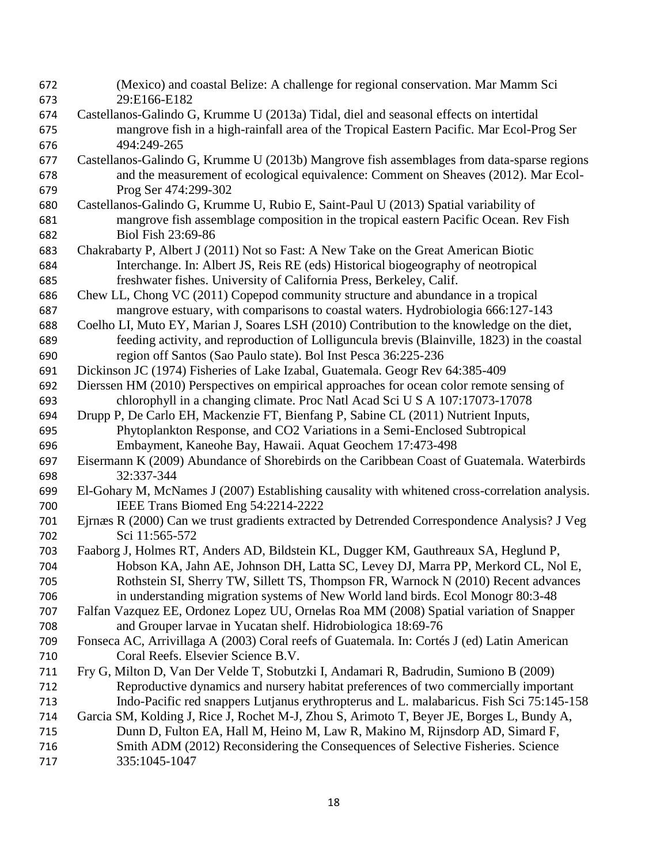(Mexico) and coastal Belize: A challenge for regional conservation. Mar Mamm Sci 29:E166-E182 Castellanos-Galindo G, Krumme U (2013a) Tidal, diel and seasonal effects on intertidal mangrove fish in a high-rainfall area of the Tropical Eastern Pacific. Mar Ecol-Prog Ser 494:249-265 Castellanos-Galindo G, Krumme U (2013b) Mangrove fish assemblages from data-sparse regions and the measurement of ecological equivalence: Comment on Sheaves (2012). Mar Ecol- Prog Ser 474:299-302 Castellanos-Galindo G, Krumme U, Rubio E, Saint-Paul U (2013) Spatial variability of mangrove fish assemblage composition in the tropical eastern Pacific Ocean. Rev Fish Biol Fish 23:69-86 Chakrabarty P, Albert J (2011) Not so Fast: A New Take on the Great American Biotic Interchange. In: Albert JS, Reis RE (eds) Historical biogeography of neotropical freshwater fishes. University of California Press, Berkeley, Calif. Chew LL, Chong VC (2011) Copepod community structure and abundance in a tropical mangrove estuary, with comparisons to coastal waters. Hydrobiologia 666:127-143 Coelho LI, Muto EY, Marian J, Soares LSH (2010) Contribution to the knowledge on the diet, feeding activity, and reproduction of Lolliguncula brevis (Blainville, 1823) in the coastal region off Santos (Sao Paulo state). Bol Inst Pesca 36:225-236 Dickinson JC (1974) Fisheries of Lake Izabal, Guatemala. Geogr Rev 64:385-409 Dierssen HM (2010) Perspectives on empirical approaches for ocean color remote sensing of chlorophyll in a changing climate. Proc Natl Acad Sci U S A 107:17073-17078 Drupp P, De Carlo EH, Mackenzie FT, Bienfang P, Sabine CL (2011) Nutrient Inputs, Phytoplankton Response, and CO2 Variations in a Semi-Enclosed Subtropical Embayment, Kaneohe Bay, Hawaii. Aquat Geochem 17:473-498 Eisermann K (2009) Abundance of Shorebirds on the Caribbean Coast of Guatemala. Waterbirds 32:337-344 El-Gohary M, McNames J (2007) Establishing causality with whitened cross-correlation analysis. IEEE Trans Biomed Eng 54:2214-2222 Ejrnæs R (2000) Can we trust gradients extracted by Detrended Correspondence Analysis? J Veg Sci 11:565-572 Faaborg J, Holmes RT, Anders AD, Bildstein KL, Dugger KM, Gauthreaux SA, Heglund P, Hobson KA, Jahn AE, Johnson DH, Latta SC, Levey DJ, Marra PP, Merkord CL, Nol E, Rothstein SI, Sherry TW, Sillett TS, Thompson FR, Warnock N (2010) Recent advances in understanding migration systems of New World land birds. Ecol Monogr 80:3-48 Falfan Vazquez EE, Ordonez Lopez UU, Ornelas Roa MM (2008) Spatial variation of Snapper and Grouper larvae in Yucatan shelf. Hidrobiologica 18:69-76 Fonseca AC, Arrivillaga A (2003) Coral reefs of Guatemala. In: Cortés J (ed) Latin American Coral Reefs. Elsevier Science B.V. Fry G, Milton D, Van Der Velde T, Stobutzki I, Andamari R, Badrudin, Sumiono B (2009) Reproductive dynamics and nursery habitat preferences of two commercially important Indo-Pacific red snappers Lutjanus erythropterus and L. malabaricus. Fish Sci 75:145-158 Garcia SM, Kolding J, Rice J, Rochet M-J, Zhou S, Arimoto T, Beyer JE, Borges L, Bundy A, Dunn D, Fulton EA, Hall M, Heino M, Law R, Makino M, Rijnsdorp AD, Simard F, Smith ADM (2012) Reconsidering the Consequences of Selective Fisheries. Science 335:1045-1047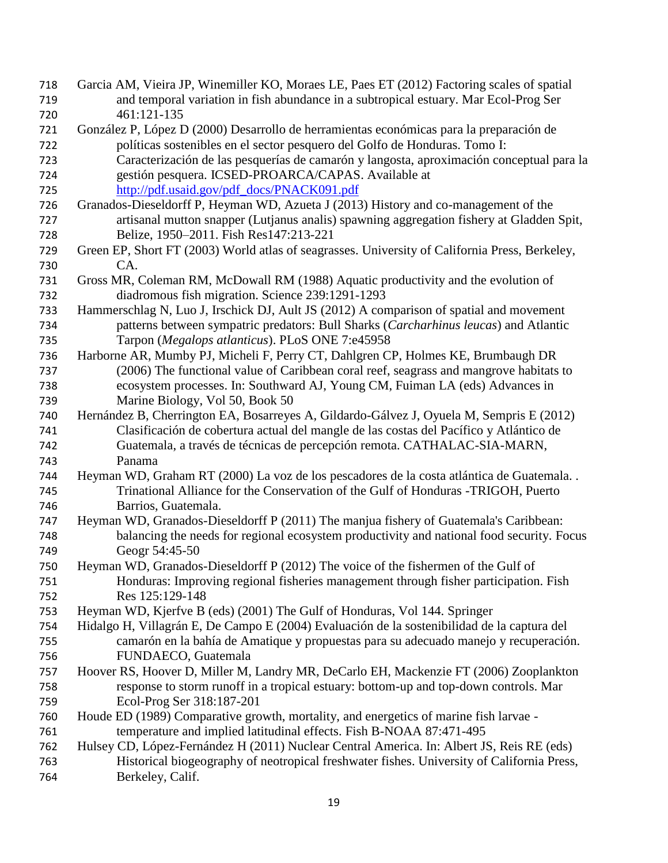- Garcia AM, Vieira JP, Winemiller KO, Moraes LE, Paes ET (2012) Factoring scales of spatial and temporal variation in fish abundance in a subtropical estuary. Mar Ecol-Prog Ser 461:121-135
- González P, López D (2000) Desarrollo de herramientas económicas para la preparación de políticas sostenibles en el sector pesquero del Golfo de Honduras. Tomo I:
- Caracterización de las pesquerías de camarón y langosta, aproximación conceptual para la gestión pesquera. ICSED-PROARCA/CAPAS. Available at [http://pdf.usaid.gov/pdf\\_docs/PNACK091.pdf](http://pdf.usaid.gov/pdf_docs/PNACK091.pdf)
- Granados-Dieseldorff P, Heyman WD, Azueta J (2013) History and co-management of the artisanal mutton snapper (Lutjanus analis) spawning aggregation fishery at Gladden Spit, Belize, 1950–2011. Fish Res147:213-221
- Green EP, Short FT (2003) World atlas of seagrasses. University of California Press, Berkeley, CA.
- Gross MR, Coleman RM, McDowall RM (1988) Aquatic productivity and the evolution of diadromous fish migration. Science 239:1291-1293
- Hammerschlag N, Luo J, Irschick DJ, Ault JS (2012) A comparison of spatial and movement patterns between sympatric predators: Bull Sharks (*Carcharhinus leucas*) and Atlantic Tarpon (*Megalops atlanticus*). PLoS ONE 7:e45958
- Harborne AR, Mumby PJ, Micheli F, Perry CT, Dahlgren CP, Holmes KE, Brumbaugh DR (2006) The functional value of Caribbean coral reef, seagrass and mangrove habitats to ecosystem processes. In: Southward AJ, Young CM, Fuiman LA (eds) Advances in Marine Biology, Vol 50, Book 50
- Hernández B, Cherrington EA, Bosarreyes A, Gildardo-Gálvez J, Oyuela M, Sempris E (2012) Clasificación de cobertura actual del mangle de las costas del Pacífico y Atlántico de Guatemala, a través de técnicas de percepción remota. CATHALAC-SIA-MARN, Panama
- Heyman WD, Graham RT (2000) La voz de los pescadores de la costa atlántica de Guatemala. . Trinational Alliance for the Conservation of the Gulf of Honduras -TRIGOH, Puerto Barrios, Guatemala.
- Heyman WD, Granados-Dieseldorff P (2011) The manjua fishery of Guatemala's Caribbean: balancing the needs for regional ecosystem productivity and national food security. Focus Geogr 54:45-50
- Heyman WD, Granados-Dieseldorff P (2012) The voice of the fishermen of the Gulf of Honduras: Improving regional fisheries management through fisher participation. Fish Res 125:129-148
- Heyman WD, Kjerfve B (eds) (2001) The Gulf of Honduras, Vol 144. Springer
- Hidalgo H, Villagrán E, De Campo E (2004) Evaluación de la sostenibilidad de la captura del camarón en la bahía de Amatique y propuestas para su adecuado manejo y recuperación. FUNDAECO, Guatemala
- Hoover RS, Hoover D, Miller M, Landry MR, DeCarlo EH, Mackenzie FT (2006) Zooplankton response to storm runoff in a tropical estuary: bottom-up and top-down controls. Mar Ecol-Prog Ser 318:187-201
- Houde ED (1989) Comparative growth, mortality, and energetics of marine fish larvae temperature and implied latitudinal effects. Fish B-NOAA 87:471-495
- Hulsey CD, López-Fernández H (2011) Nuclear Central America. In: Albert JS, Reis RE (eds) Historical biogeography of neotropical freshwater fishes. University of California Press, Berkeley, Calif.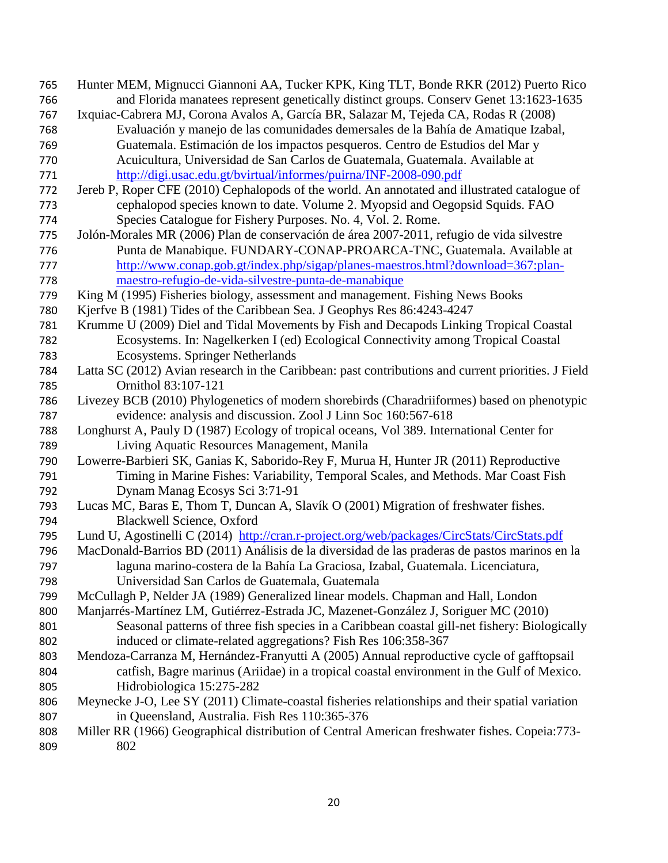Hunter MEM, Mignucci Giannoni AA, Tucker KPK, King TLT, Bonde RKR (2012) Puerto Rico and Florida manatees represent genetically distinct groups. Conserv Genet 13:1623-1635 Ixquiac-Cabrera MJ, Corona Avalos A, García BR, Salazar M, Tejeda CA, Rodas R (2008) Evaluación y manejo de las comunidades demersales de la Bahía de Amatique Izabal, Guatemala. Estimación de los impactos pesqueros. Centro de Estudios del Mar y Acuicultura, Universidad de San Carlos de Guatemala, Guatemala. Available at <http://digi.usac.edu.gt/bvirtual/informes/puirna/INF-2008-090.pdf> Jereb P, Roper CFE (2010) Cephalopods of the world. An annotated and illustrated catalogue of cephalopod species known to date. Volume 2. Myopsid and Oegopsid Squids. FAO Species Catalogue for Fishery Purposes. No. 4, Vol. 2. Rome. Jolón-Morales MR (2006) Plan de conservación de área 2007-2011, refugio de vida silvestre Punta de Manabique. FUNDARY-CONAP-PROARCA-TNC, Guatemala. Available at [http://www.conap.gob.gt/index.php/sigap/planes-maestros.html?download=367:plan-](http://www.conap.gob.gt/index.php/sigap/planes-maestros.html?download=367:plan-maestro-refugio-de-vida-silvestre-punta-de-manabique) [maestro-refugio-de-vida-silvestre-punta-de-manabique](http://www.conap.gob.gt/index.php/sigap/planes-maestros.html?download=367:plan-maestro-refugio-de-vida-silvestre-punta-de-manabique) King M (1995) Fisheries biology, assessment and management. Fishing News Books Kjerfve B (1981) Tides of the Caribbean Sea. J Geophys Res 86:4243-4247 Krumme U (2009) Diel and Tidal Movements by Fish and Decapods Linking Tropical Coastal Ecosystems. In: Nagelkerken I (ed) Ecological Connectivity among Tropical Coastal Ecosystems. Springer Netherlands Latta SC (2012) Avian research in the Caribbean: past contributions and current priorities. J Field Ornithol 83:107-121 Livezey BCB (2010) Phylogenetics of modern shorebirds (Charadriiformes) based on phenotypic evidence: analysis and discussion. Zool J Linn Soc 160:567-618 Longhurst A, Pauly D (1987) Ecology of tropical oceans, Vol 389. International Center for Living Aquatic Resources Management, Manila Lowerre-Barbieri SK, Ganias K, Saborido-Rey F, Murua H, Hunter JR (2011) Reproductive Timing in Marine Fishes: Variability, Temporal Scales, and Methods. Mar Coast Fish Dynam Manag Ecosys Sci 3:71-91 Lucas MC, Baras E, Thom T, Duncan A, Slavík O (2001) Migration of freshwater fishes. Blackwell Science, Oxford 795 Lund U, Agostinelli C (2014) <http://cran.r-project.org/web/packages/CircStats/CircStats.pdf> MacDonald-Barrios BD (2011) Análisis de la diversidad de las praderas de pastos marinos en la laguna marino-costera de la Bahía La Graciosa, Izabal, Guatemala. Licenciatura, Universidad San Carlos de Guatemala, Guatemala McCullagh P, Nelder JA (1989) Generalized linear models. Chapman and Hall, London Manjarrés-Martínez LM, Gutiérrez-Estrada JC, Mazenet-González J, Soriguer MC (2010) Seasonal patterns of three fish species in a Caribbean coastal gill-net fishery: Biologically induced or climate-related aggregations? Fish Res 106:358-367 Mendoza-Carranza M, Hernández-Franyutti A (2005) Annual reproductive cycle of gafftopsail catfish, Bagre marinus (Ariidae) in a tropical coastal environment in the Gulf of Mexico. Hidrobiologica 15:275-282 Meynecke J-O, Lee SY (2011) Climate-coastal fisheries relationships and their spatial variation in Queensland, Australia. Fish Res 110:365-376 Miller RR (1966) Geographical distribution of Central American freshwater fishes. Copeia:773- 802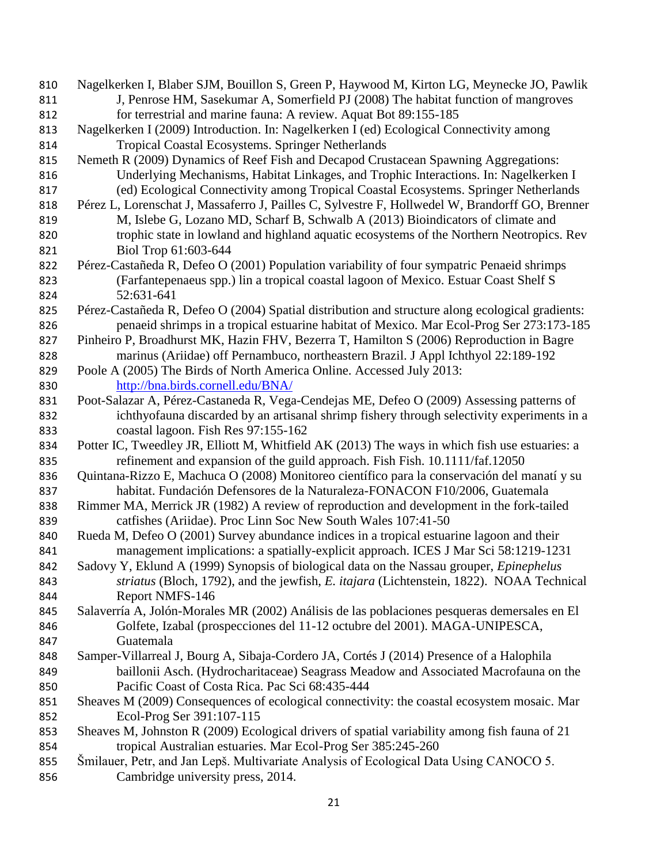Nagelkerken I, Blaber SJM, Bouillon S, Green P, Haywood M, Kirton LG, Meynecke JO, Pawlik 811 J, Penrose HM, Sasekumar A, Somerfield PJ (2008) The habitat function of mangroves for terrestrial and marine fauna: A review. Aquat Bot 89:155-185 Nagelkerken I (2009) Introduction. In: Nagelkerken I (ed) Ecological Connectivity among Tropical Coastal Ecosystems. Springer Netherlands Nemeth R (2009) Dynamics of Reef Fish and Decapod Crustacean Spawning Aggregations: Underlying Mechanisms, Habitat Linkages, and Trophic Interactions. In: Nagelkerken I (ed) Ecological Connectivity among Tropical Coastal Ecosystems. Springer Netherlands Pérez L, Lorenschat J, Massaferro J, Pailles C, Sylvestre F, Hollwedel W, Brandorff GO, Brenner M, Islebe G, Lozano MD, Scharf B, Schwalb A (2013) Bioindicators of climate and trophic state in lowland and highland aquatic ecosystems of the Northern Neotropics. Rev Biol Trop 61:603-644 Pérez-Castañeda R, Defeo O (2001) Population variability of four sympatric Penaeid shrimps (Farfantepenaeus spp.) lin a tropical coastal lagoon of Mexico. Estuar Coast Shelf S 52:631-641 Pérez-Castañeda R, Defeo O (2004) Spatial distribution and structure along ecological gradients: penaeid shrimps in a tropical estuarine habitat of Mexico. Mar Ecol-Prog Ser 273:173-185 Pinheiro P, Broadhurst MK, Hazin FHV, Bezerra T, Hamilton S (2006) Reproduction in Bagre marinus (Ariidae) off Pernambuco, northeastern Brazil. J Appl Ichthyol 22:189-192 Poole A (2005) The Birds of North America Online. Accessed July 2013: <http://bna.birds.cornell.edu/BNA/> Poot-Salazar A, Pérez-Castaneda R, Vega-Cendejas ME, Defeo O (2009) Assessing patterns of ichthyofauna discarded by an artisanal shrimp fishery through selectivity experiments in a coastal lagoon. Fish Res 97:155-162 834 Potter IC, Tweedley JR, Elliott M, Whitfield AK (2013) The ways in which fish use estuaries: a refinement and expansion of the guild approach. Fish Fish. 10.1111/faf.12050 Quintana-Rizzo E, Machuca O (2008) Monitoreo científico para la conservación del manatí y su habitat. Fundación Defensores de la Naturaleza-FONACON F10/2006, Guatemala Rimmer MA, Merrick JR (1982) A review of reproduction and development in the fork-tailed catfishes (Ariidae). Proc Linn Soc New South Wales 107:41-50 Rueda M, Defeo O (2001) Survey abundance indices in a tropical estuarine lagoon and their management implications: a spatially-explicit approach. ICES J Mar Sci 58:1219-1231 Sadovy Y, Eklund A (1999) Synopsis of biological data on the Nassau grouper, *Epinephelus striatus* (Bloch, 1792), and the jewfish, *E. itajara* (Lichtenstein, 1822). NOAA Technical Report NMFS-146 Salaverría A, Jolón-Morales MR (2002) Análisis de las poblaciones pesqueras demersales en El Golfete, Izabal (prospecciones del 11-12 octubre del 2001). MAGA-UNIPESCA, Guatemala Samper-Villarreal J, Bourg A, Sibaja-Cordero JA, Cortés J (2014) Presence of a Halophila baillonii Asch. (Hydrocharitaceae) Seagrass Meadow and Associated Macrofauna on the Pacific Coast of Costa Rica. Pac Sci 68:435-444 Sheaves M (2009) Consequences of ecological connectivity: the coastal ecosystem mosaic. Mar Ecol-Prog Ser 391:107-115 Sheaves M, Johnston R (2009) Ecological drivers of spatial variability among fish fauna of 21 tropical Australian estuaries. Mar Ecol-Prog Ser 385:245-260 Šmilauer, Petr, and Jan Lepš. Multivariate Analysis of Ecological Data Using CANOCO 5. Cambridge university press, 2014.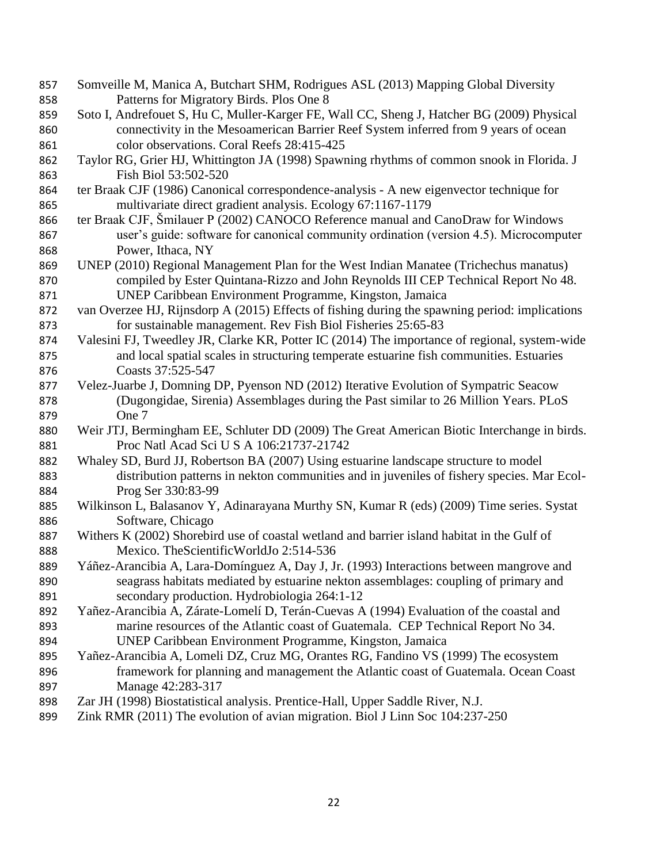| 857 | Somveille M, Manica A, Butchart SHM, Rodrigues ASL (2013) Mapping Global Diversity             |
|-----|------------------------------------------------------------------------------------------------|
| 858 | Patterns for Migratory Birds. Plos One 8                                                       |
| 859 | Soto I, Andrefouet S, Hu C, Muller-Karger FE, Wall CC, Sheng J, Hatcher BG (2009) Physical     |
| 860 | connectivity in the Mesoamerican Barrier Reef System inferred from 9 years of ocean            |
| 861 | color observations. Coral Reefs 28:415-425                                                     |
| 862 | Taylor RG, Grier HJ, Whittington JA (1998) Spawning rhythms of common snook in Florida. J      |
| 863 | Fish Biol 53:502-520                                                                           |
| 864 | ter Braak CJF (1986) Canonical correspondence-analysis - A new eigenvector technique for       |
| 865 | multivariate direct gradient analysis. Ecology 67:1167-1179                                    |
| 866 | ter Braak CJF, Šmilauer P (2002) CANOCO Reference manual and CanoDraw for Windows              |
| 867 | user's guide: software for canonical community ordination (version 4.5). Microcomputer         |
| 868 | Power, Ithaca, NY                                                                              |
| 869 | UNEP (2010) Regional Management Plan for the West Indian Manatee (Trichechus manatus)          |
| 870 | compiled by Ester Quintana-Rizzo and John Reynolds III CEP Technical Report No 48.             |
| 871 | UNEP Caribbean Environment Programme, Kingston, Jamaica                                        |
| 872 | van Overzee HJ, Rijnsdorp A (2015) Effects of fishing during the spawning period: implications |
| 873 | for sustainable management. Rev Fish Biol Fisheries 25:65-83                                   |
| 874 | Valesini FJ, Tweedley JR, Clarke KR, Potter IC (2014) The importance of regional, system-wide  |
| 875 | and local spatial scales in structuring temperate estuarine fish communities. Estuaries        |
| 876 | Coasts 37:525-547                                                                              |
| 877 | Velez-Juarbe J, Domning DP, Pyenson ND (2012) Iterative Evolution of Sympatric Seacow          |
| 878 | (Dugongidae, Sirenia) Assemblages during the Past similar to 26 Million Years. PLoS            |
| 879 | One 7                                                                                          |
| 880 | Weir JTJ, Bermingham EE, Schluter DD (2009) The Great American Biotic Interchange in birds.    |
| 881 | Proc Natl Acad Sci U S A 106:21737-21742                                                       |
| 882 | Whaley SD, Burd JJ, Robertson BA (2007) Using estuarine landscape structure to model           |
| 883 | distribution patterns in nekton communities and in juveniles of fishery species. Mar Ecol-     |
| 884 | Prog Ser 330:83-99                                                                             |
| 885 | Wilkinson L, Balasanov Y, Adinarayana Murthy SN, Kumar R (eds) (2009) Time series. Systat      |
| 886 | Software, Chicago                                                                              |
| 887 | Withers K (2002) Shorebird use of coastal wetland and barrier island habitat in the Gulf of    |
| 888 | Mexico. The Scientific World Jo 2:514-536                                                      |
| 889 | Yáñez-Arancibia A, Lara-Domínguez A, Day J, Jr. (1993) Interactions between mangrove and       |
| 890 | seagrass habitats mediated by estuarine nekton assemblages: coupling of primary and            |
| 891 | secondary production. Hydrobiologia 264:1-12                                                   |
| 892 | Yañez-Arancibia A, Zárate-Lomelí D, Terán-Cuevas A (1994) Evaluation of the coastal and        |
| 893 | marine resources of the Atlantic coast of Guatemala. CEP Technical Report No 34.               |
| 894 | UNEP Caribbean Environment Programme, Kingston, Jamaica                                        |
| 895 | Yañez-Arancibia A, Lomeli DZ, Cruz MG, Orantes RG, Fandino VS (1999) The ecosystem             |
| 896 | framework for planning and management the Atlantic coast of Guatemala. Ocean Coast             |
| 897 | Manage 42:283-317                                                                              |
| 898 | Zar JH (1998) Biostatistical analysis. Prentice-Hall, Upper Saddle River, N.J.                 |
| 899 | Zink RMR (2011) The evolution of avian migration. Biol J Linn Soc 104:237-250                  |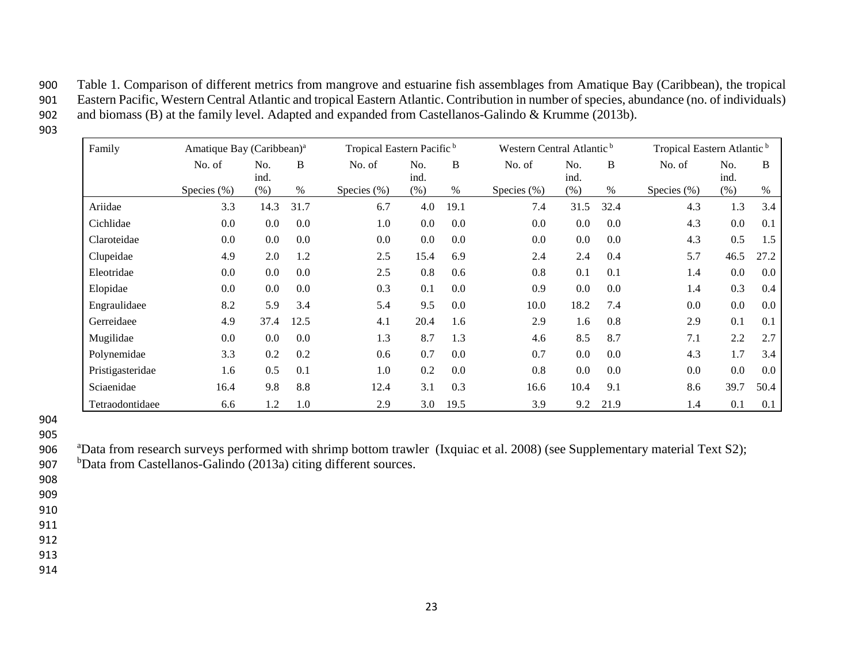900 Table 1. Comparison of different metrics from mangrove and estuarine fish assemblages from Amatique Bay (Caribbean), the tropical 901 Eastern Pacific, Western Central Atlantic and tropical Eastern Atlantic. Contribution in number of species, abundance (no. of individuals) 902 and biomass (B) at the family level. Adapted and expanded from Castellanos-Galindo & Krumme (2013b).

903

| Family           | Amatique Bay (Caribbean) <sup>a</sup> |             |      | Tropical Eastern Pacific <sup>b</sup> |             |      | Western Central Atlantic <sup>b</sup> |             |      | Tropical Eastern Atlantic <sup>b</sup> |             |      |
|------------------|---------------------------------------|-------------|------|---------------------------------------|-------------|------|---------------------------------------|-------------|------|----------------------------------------|-------------|------|
|                  | No. of                                | No.<br>ind. | B    | No. of                                | No.<br>ind. | B    | No. of                                | No.<br>ind. | B    | No. of                                 | No.<br>ind. | B    |
|                  | Species $(\% )$                       | (% )        | $\%$ | Species $(\% )$                       | $(\% )$     | %    | Species $(\% )$                       | (% )        | $\%$ | Species $(\% )$                        | (%)         | %    |
| Ariidae          | 3.3                                   | 14.3        | 31.7 | 6.7                                   | 4.0         | 19.1 | 7.4                                   | 31.5        | 32.4 | 4.3                                    | 1.3         | 3.4  |
| Cichlidae        | 0.0                                   | 0.0         | 0.0  | 1.0                                   | 0.0         | 0.0  | 0.0                                   | $0.0\,$     | 0.0  | 4.3                                    | 0.0         | 0.1  |
| Claroteidae      | 0.0                                   | 0.0         | 0.0  | 0.0                                   | 0.0         | 0.0  | 0.0                                   | $0.0\,$     | 0.0  | 4.3                                    | 0.5         | 1.5  |
| Clupeidae        | 4.9                                   | 2.0         | 1.2  | 2.5                                   | 15.4        | 6.9  | 2.4                                   | 2.4         | 0.4  | 5.7                                    | 46.5        | 27.2 |
| Eleotridae       | 0.0                                   | 0.0         | 0.0  | 2.5                                   | 0.8         | 0.6  | 0.8                                   | 0.1         | 0.1  | 1.4                                    | 0.0         | 0.0  |
| Elopidae         | 0.0                                   | 0.0         | 0.0  | 0.3                                   | 0.1         | 0.0  | 0.9                                   | 0.0         | 0.0  | 1.4                                    | 0.3         | 0.4  |
| Engraulidaee     | 8.2                                   | 5.9         | 3.4  | 5.4                                   | 9.5         | 0.0  | 10.0                                  | 18.2        | 7.4  | $0.0\,$                                | 0.0         | 0.0  |
| Gerreidaee       | 4.9                                   | 37.4        | 12.5 | 4.1                                   | 20.4        | 1.6  | 2.9                                   | 1.6         | 0.8  | 2.9                                    | 0.1         | 0.1  |
| Mugilidae        | 0.0                                   | 0.0         | 0.0  | 1.3                                   | 8.7         | 1.3  | 4.6                                   | 8.5         | 8.7  | 7.1                                    | 2.2         | 2.7  |
| Polynemidae      | 3.3                                   | 0.2         | 0.2  | 0.6                                   | 0.7         | 0.0  | 0.7                                   | $0.0\,$     | 0.0  | 4.3                                    | 1.7         | 3.4  |
| Pristigasteridae | 1.6                                   | 0.5         | 0.1  | 1.0                                   | 0.2         | 0.0  | 0.8                                   | $0.0\,$     | 0.0  | $0.0\,$                                | 0.0         | 0.0  |
| Sciaenidae       | 16.4                                  | 9.8         | 8.8  | 12.4                                  | 3.1         | 0.3  | 16.6                                  | 10.4        | 9.1  | 8.6                                    | 39.7        | 50.4 |
| Tetraodontidaee  | 6.6                                   | 1.2         | 1.0  | 2.9                                   | 3.0         | 19.5 | 3.9                                   | 9.2         | 21.9 | 1.4                                    | 0.1         | 0.1  |

<sup>904</sup> 905

906 aData from research surveys performed with shrimp bottom trawler (Ixquiac et al. 2008) (see Supplementary material Text S2);

907 bData from Castellanos-Galindo (2013a) citing different sources.

908

909

910 911

912

913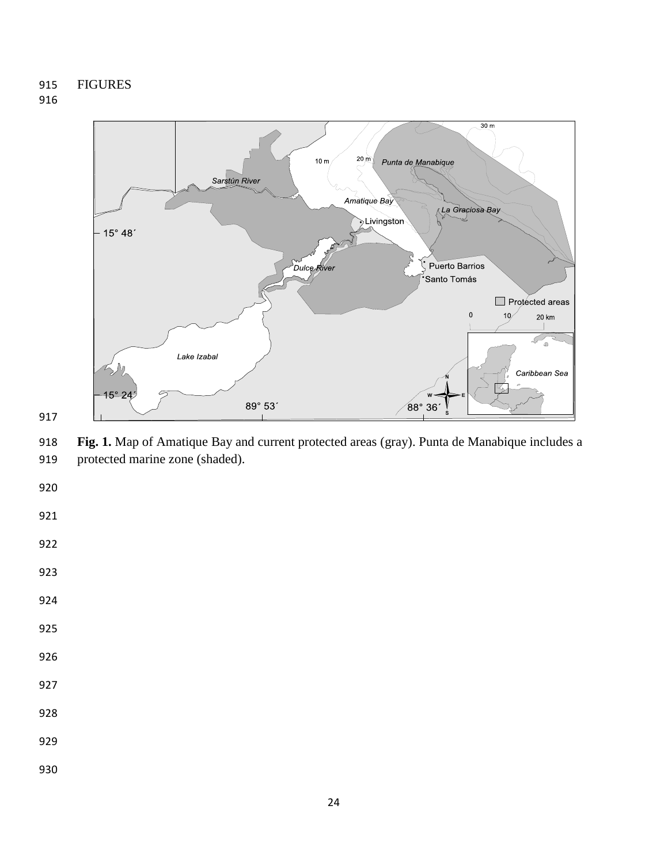

 **Fig. 1.** Map of Amatique Bay and current protected areas (gray). Punta de Manabique includes a protected marine zone (shaded).

- 
- 
- 
- 
- 
- 
-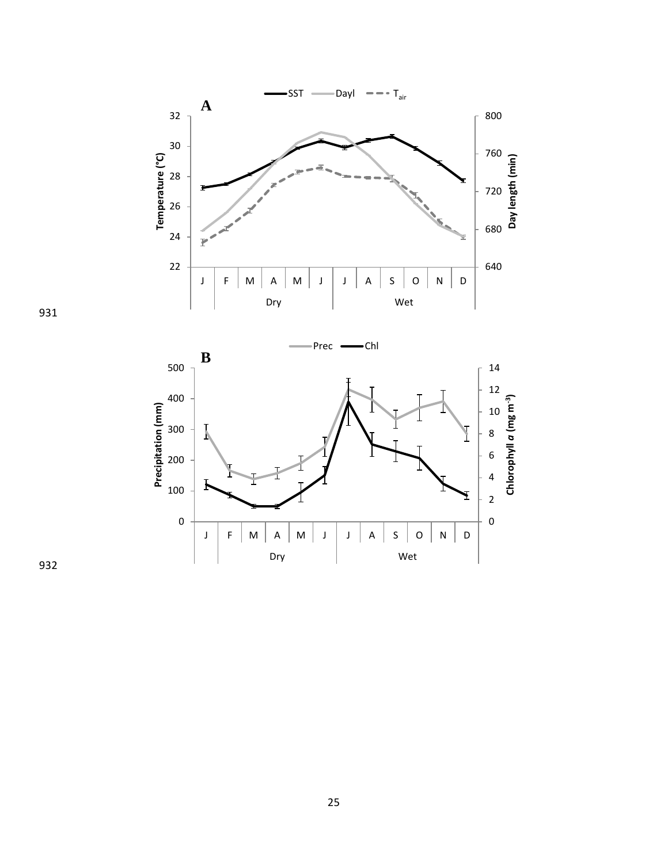



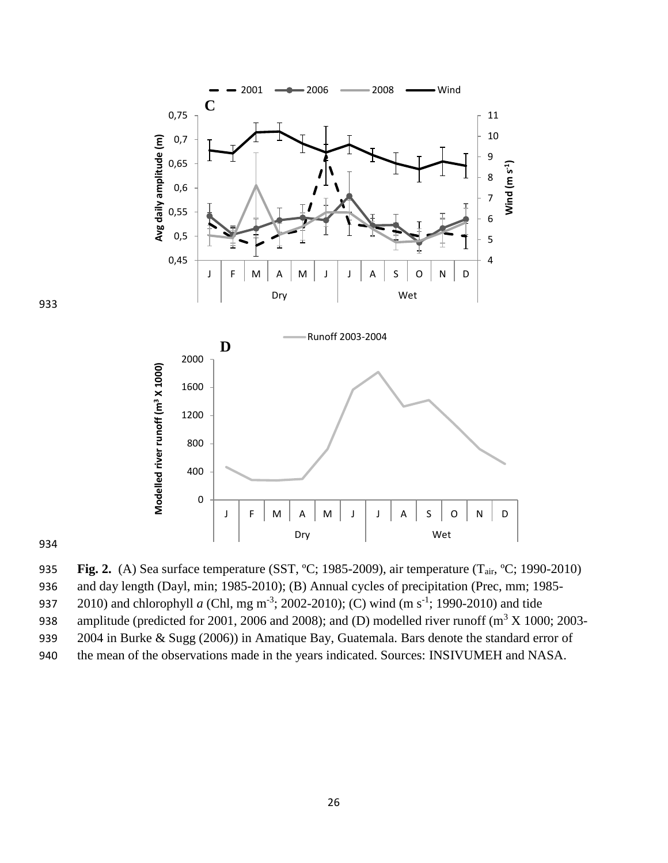

933

934

935 **Fig. 2.** (A) Sea surface temperature (SST, ºC; 1985-2009), air temperature (Tair, ºC; 1990-2010)

936 and day length (Dayl, min; 1985-2010); (B) Annual cycles of precipitation (Prec, mm; 1985-

937 2010) and chlorophyll *a* (Chl, mg m<sup>-3</sup>; 2002-2010); (C) wind (m s<sup>-1</sup>; 1990-2010) and tide

938 amplitude (predicted for 2001, 2006 and 2008); and (D) modelled river runoff ( $m^3 X 1000$ ; 2003-

939 2004 in Burke & Sugg (2006)) in Amatique Bay, Guatemala. Bars denote the standard error of

940 the mean of the observations made in the years indicated. Sources: INSIVUMEH and NASA.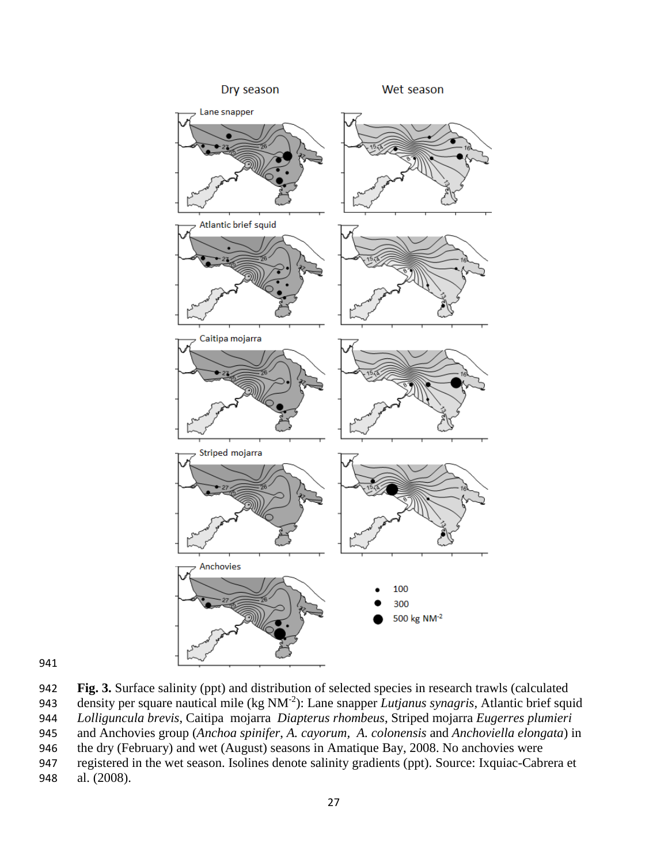

 **Fig. 3.** Surface salinity (ppt) and distribution of selected species in research trawls (calculated 943 density per square nautical mile (kg NM<sup>-2</sup>): Lane snapper *Lutjanus synagris*, Atlantic brief squid *Lolliguncula brevis*, Caitipa mojarra *Diapterus rhombeus*, Striped mojarra *Eugerres plumieri* and Anchovies group (*Anchoa spinifer*, *A. cayorum, A. colonensis* and *Anchoviella elongata*) in the dry (February) and wet (August) seasons in Amatique Bay, 2008. No anchovies were registered in the wet season. Isolines denote salinity gradients (ppt). Source: Ixquiac-Cabrera et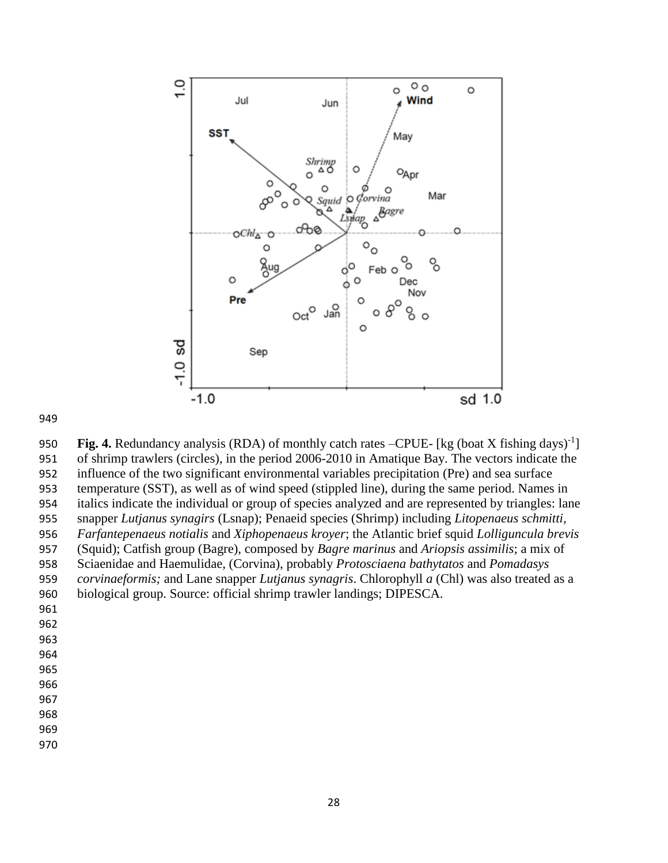

950 **Fig. 4.** Redundancy analysis (RDA) of monthly catch rates –CPUE- [kg (boat X fishing days)<sup>-1</sup>] of shrimp trawlers (circles), in the period 2006-2010 in Amatique Bay. The vectors indicate the influence of the two significant environmental variables precipitation (Pre) and sea surface temperature (SST), as well as of wind speed (stippled line), during the same period. Names in italics indicate the individual or group of species analyzed and are represented by triangles: lane snapper *Lutjanus synagirs* (Lsnap); Penaeid species (Shrimp) including *Litopenaeus schmitti, Farfantepenaeus notialis* and *Xiphopenaeus kroyer*; the Atlantic brief squid *Lolliguncula brevis*  (Squid); Catfish group (Bagre), composed by *Bagre marinus* and *Ariopsis assimilis*; a mix of Sciaenidae and Haemulidae, (Corvina), probably *Protosciaena bathytatos* and *Pomadasys corvinaeformis;* and Lane snapper *Lutjanus synagris*. Chlorophyll *a* (Chl) was also treated as a biological group. Source: official shrimp trawler landings; DIPESCA.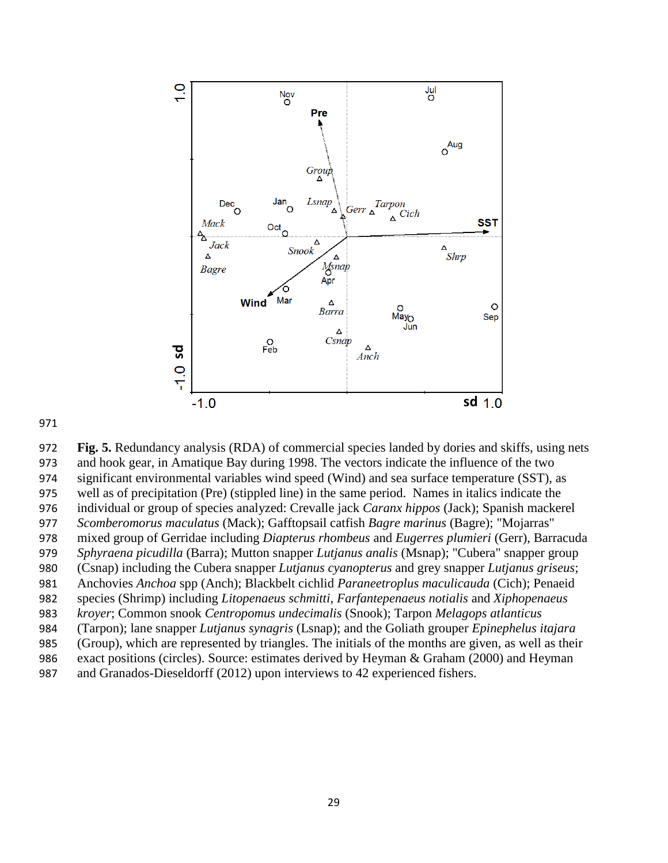

 **Fig. 5.** Redundancy analysis (RDA) of commercial species landed by dories and skiffs, using nets and hook gear, in Amatique Bay during 1998. The vectors indicate the influence of the two significant environmental variables wind speed (Wind) and sea surface temperature (SST), as well as of precipitation (Pre) (stippled line) in the same period. Names in italics indicate the individual or group of species analyzed: Crevalle jack *Caranx hippos* (Jack); Spanish mackerel *Scomberomorus maculatus* (Mack); Gafftopsail catfish *Bagre marinus* (Bagre); "Mojarras" mixed group of Gerridae including *Diapterus rhombeus* and *Eugerres plumieri* (Gerr), Barracuda *Sphyraena picudilla* (Barra); Mutton snapper *Lutjanus analis* (Msnap); "Cubera" snapper group (Csnap) including the Cubera snapper *Lutjanus cyanopterus* and grey snapper *Lutjanus griseus*; Anchovies *Anchoa* spp (Anch); Blackbelt cichlid *Paraneetroplus maculicauda* (Cich); Penaeid species (Shrimp) including *Litopenaeus schmitti*, *Farfantepenaeus notialis* and *Xiphopenaeus kroyer*; Common snook *Centropomus undecimalis* (Snook); Tarpon *Melagops atlanticus* (Tarpon); lane snapper *Lutjanus synagris* (Lsnap); and the Goliath grouper *Epinephelus itajara* (Group), which are represented by triangles. The initials of the months are given, as well as their exact positions (circles). Source: estimates derived by Heyman & Graham (2000) and Heyman <sup>98</sup><br>
971 **Fig. 5.** Redundancy analysis (RDA) of commercial species landed by dories<br>
973 **Fig. 5.** Redundancy analysis (RDA) of commercial species landed by dories<br>
973 and hook gear, in Amatique Bay during 1998. The vect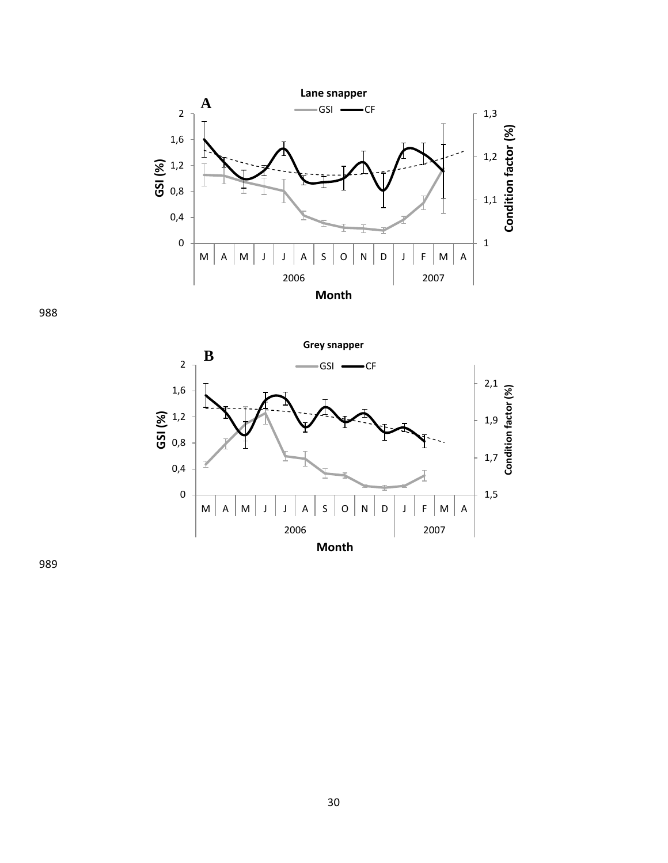

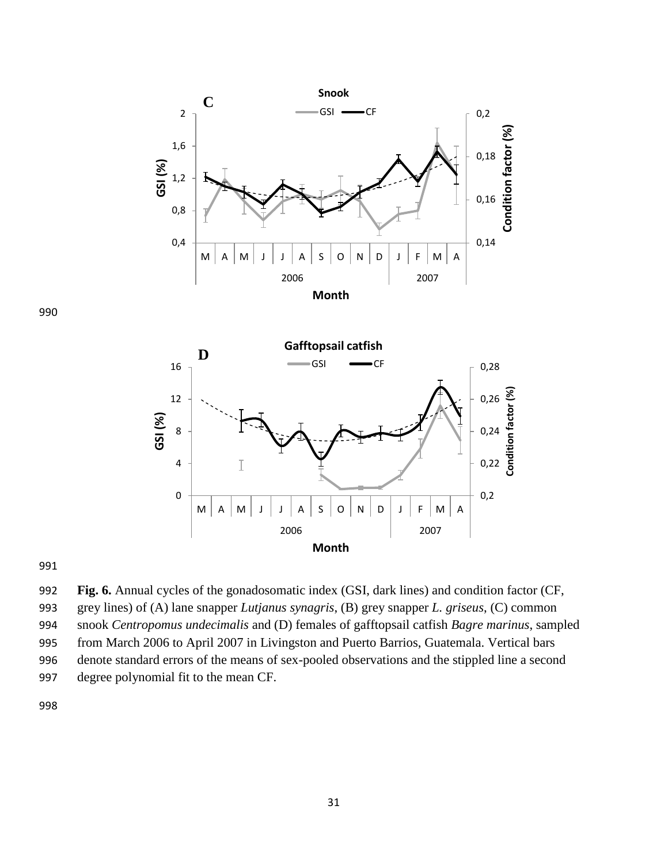



991

 **Fig. 6.** Annual cycles of the gonadosomatic index (GSI, dark lines) and condition factor (CF, grey lines) of (A) lane snapper *Lutjanus synagris*, (B) grey snapper *L. griseus*, (C) common snook *Centropomus undecimalis* and (D) females of gafftopsail catfish *Bagre marinus*, sampled from March 2006 to April 2007 in Livingston and Puerto Barrios, Guatemala. Vertical bars denote standard errors of the means of sex-pooled observations and the stippled line a second degree polynomial fit to the mean CF.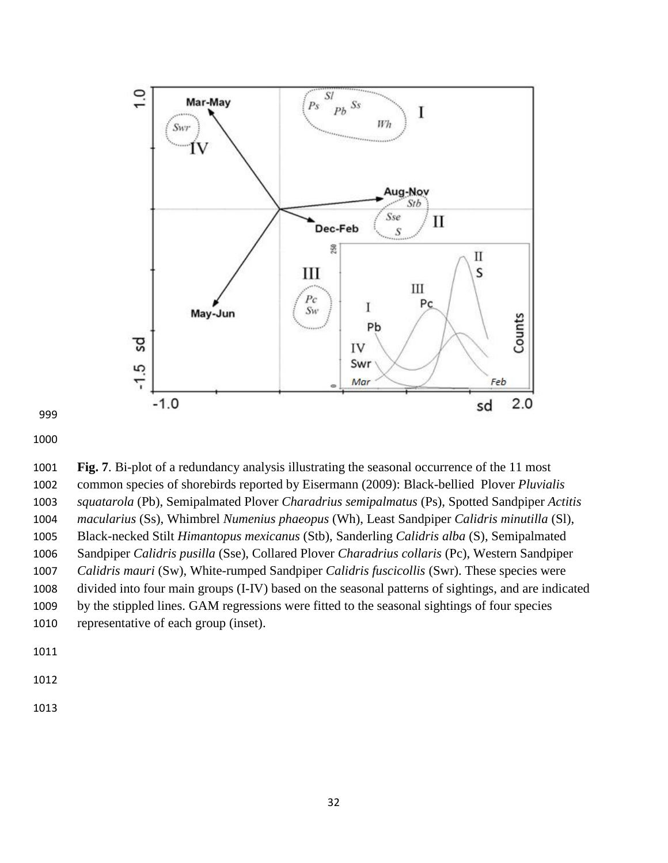

 **Fig. 7**. Bi-plot of a redundancy analysis illustrating the seasonal occurrence of the 11 most common species of shorebirds reported by Eisermann (2009): Black-bellied Plover *Pluvialis squatarola* (Pb), Semipalmated Plover *Charadrius semipalmatus* (Ps), Spotted Sandpiper *Actitis macularius* (Ss), Whimbrel *Numenius phaeopus* (Wh), Least Sandpiper *Calidris minutilla* (Sl), Black-necked Stilt *Himantopus mexicanus* (Stb), Sanderling *Calidris alba* (S), Semipalmated Sandpiper *Calidris pusilla* (Sse), Collared Plover *Charadrius collaris* (Pc), Western Sandpiper *Calidris mauri* (Sw), White-rumped Sandpiper *Calidris fuscicollis* (Swr). These species were divided into four main groups (I-IV) based on the seasonal patterns of sightings, and are indicated by the stippled lines. GAM regressions were fitted to the seasonal sightings of four species representative of each group (inset).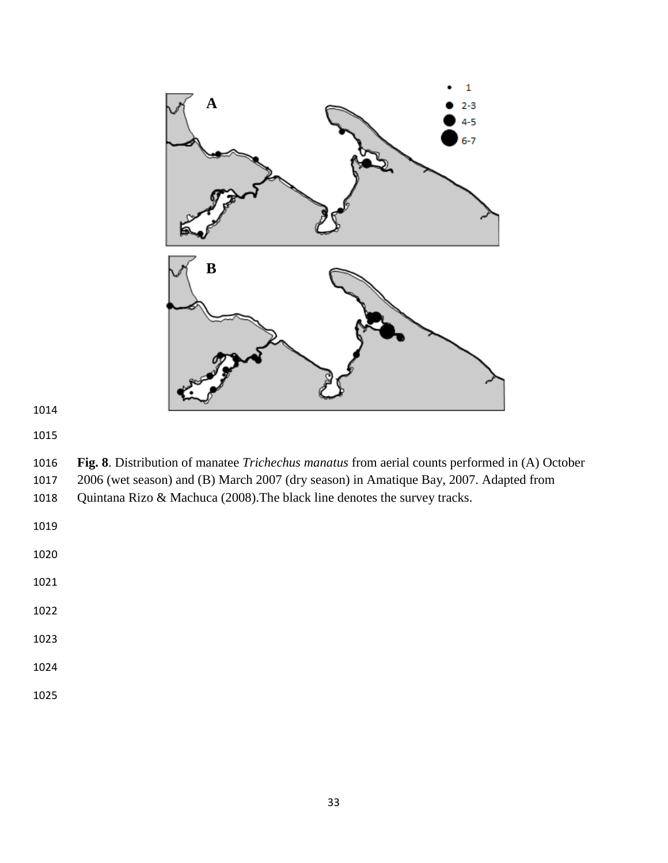

 **Fig. 8**. Distribution of manatee *Trichechus manatus* from aerial counts performed in (A) October 2006 (wet season) and (B) March 2007 (dry season) in Amatique Bay, 2007. Adapted from

Quintana Rizo & Machuca (2008).The black line denotes the survey tracks.

- 
- 
- 
-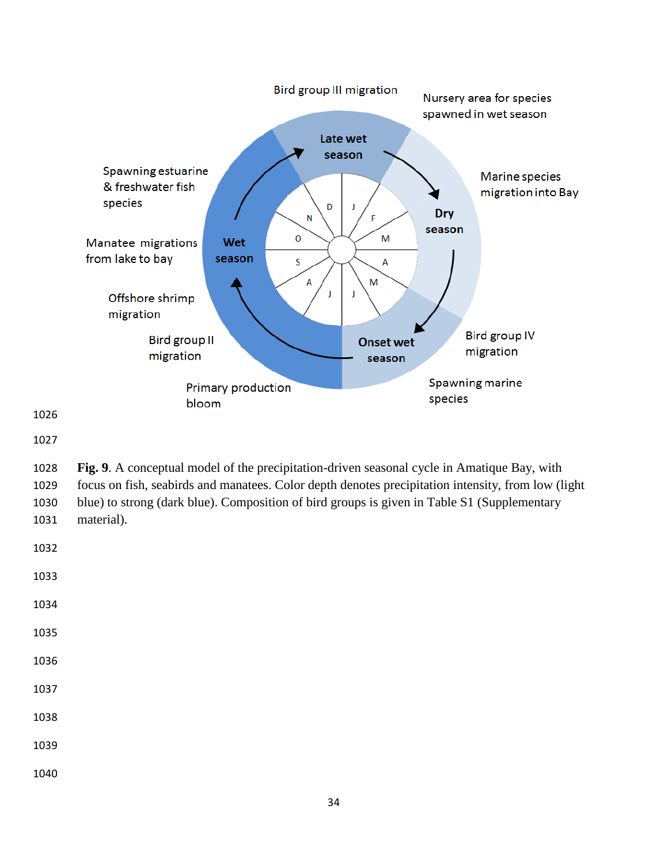

 **Fig. 9**. A conceptual model of the precipitation-driven seasonal cycle in Amatique Bay, with focus on fish, seabirds and manatees. Color depth denotes precipitation intensity, from low (light blue) to strong (dark blue). Composition of bird groups is given in Table S1 (Supplementary material).

| 1032 |  |  |  |
|------|--|--|--|
| 1033 |  |  |  |
| 1034 |  |  |  |
| 1035 |  |  |  |
| 1036 |  |  |  |
| 1037 |  |  |  |
| 1038 |  |  |  |
| 1039 |  |  |  |
| 1040 |  |  |  |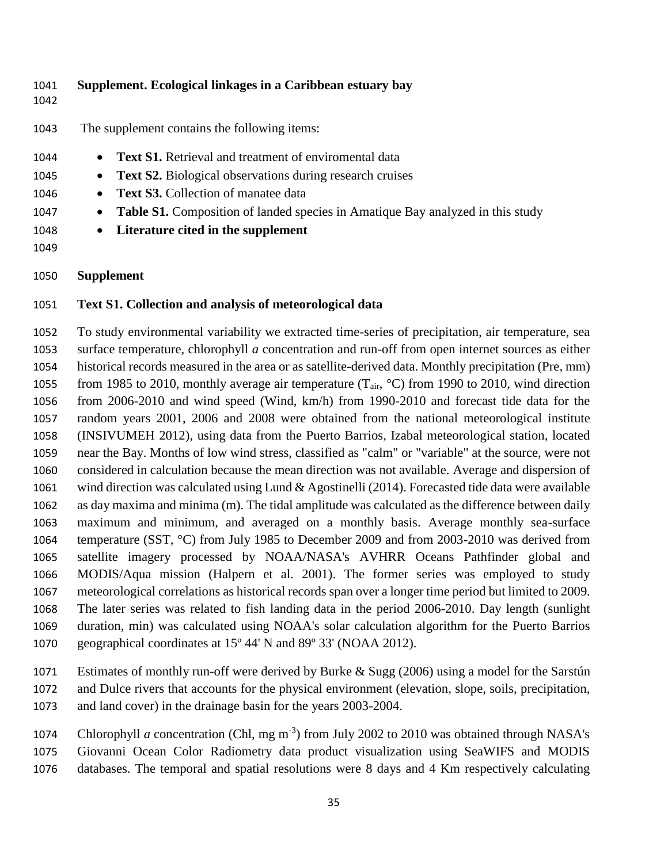| 1041<br>1042 | Supplement. Ecological linkages in a Caribbean estuary bay                                         |
|--------------|----------------------------------------------------------------------------------------------------|
| 1043         | The supplement contains the following items:                                                       |
| 1044         | <b>Text S1.</b> Retrieval and treatment of enviromental data<br>$\bullet$                          |
| 1045         | <b>Text S2.</b> Biological observations during research cruises<br>$\bullet$                       |
| 1046         | <b>Text S3.</b> Collection of manatee data<br>$\bullet$                                            |
| 1047         | <b>Table S1.</b> Composition of landed species in Amatique Bay analyzed in this study<br>$\bullet$ |
| 1048         | Literature cited in the supplement<br>$\bullet$                                                    |
| 1049         |                                                                                                    |
| 1050         | <b>Supplement</b>                                                                                  |

### **Text S1. Collection and analysis of meteorological data**

 To study environmental variability we extracted time-series of precipitation, air temperature, sea surface temperature, chlorophyll *a* concentration and run-off from open internet sources as either historical records measured in the area or as satellite-derived data. Monthly precipitation (Pre*,* mm) 1055 from 1985 to 2010, monthly average air temperature (T<sub>air</sub>, °C) from 1990 to 2010, wind direction from 2006-2010 and wind speed (Wind, km/h) from 1990-2010 and forecast tide data for the random years 2001, 2006 and 2008 were obtained from the national meteorological institute (INSIVUMEH 2012), using data from the Puerto Barrios, Izabal meteorological station, located near the Bay. Months of low wind stress, classified as "calm" or "variable" at the source, were not considered in calculation because the mean direction was not available. Average and dispersion of wind direction was calculated using Lund & Agostinelli (2014). Forecasted tide data were available as day maxima and minima (m). The tidal amplitude was calculated as the difference between daily maximum and minimum, and averaged on a monthly basis. Average monthly sea-surface temperature (SST*,* °C) from July 1985 to December 2009 and from 2003-2010 was derived from satellite imagery processed by NOAA/NASA's AVHRR Oceans Pathfinder global and MODIS/Aqua mission (Halpern et al. 2001). The former series was employed to study meteorological correlations as historical records span over a longer time period but limited to 2009. The later series was related to fish landing data in the period 2006-2010. Day length (sunlight duration, min) was calculated using NOAA's solar calculation algorithm for the Puerto Barrios geographical coordinates at 15º 44' N and 89º 33' (NOAA 2012).

 Estimates of monthly run-off were derived by Burke & Sugg (2006) using a model for the Sarstún and Dulce rivers that accounts for the physical environment (elevation, slope, soils, precipitation, and land cover) in the drainage basin for the years 2003-2004.

1074 Chlorophyll *a* concentration (Chl, mg m<sup>-3</sup>) from July 2002 to 2010 was obtained through NASA's Giovanni Ocean Color Radiometry data product visualization using SeaWIFS and MODIS databases. The temporal and spatial resolutions were 8 days and 4 Km respectively calculating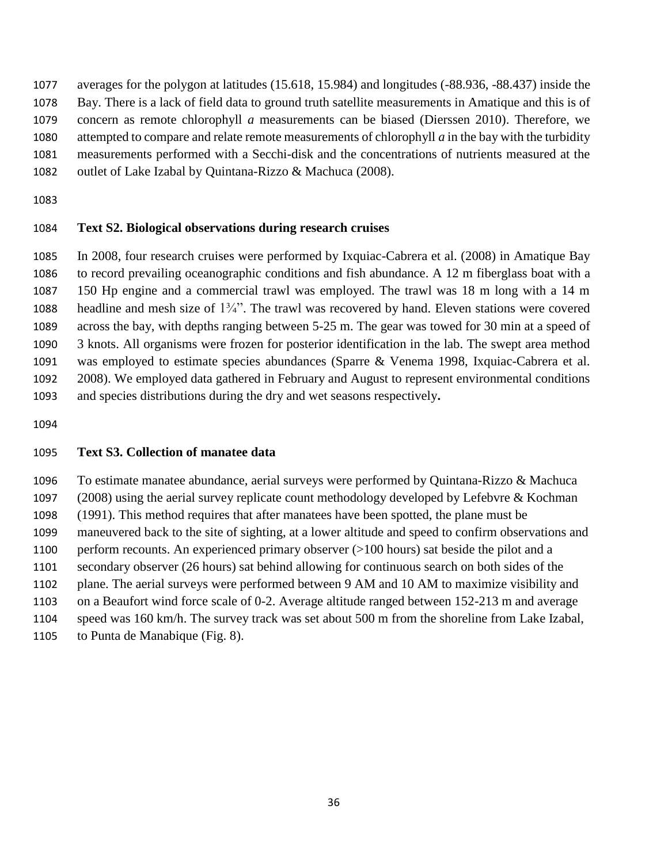averages for the polygon at latitudes (15.618, 15.984) and longitudes (-88.936, -88.437) inside the Bay. There is a lack of field data to ground truth satellite measurements in Amatique and this is of concern as remote chlorophyll *a* measurements can be biased (Dierssen 2010). Therefore, we attempted to compare and relate remote measurements of chlorophyll *a* in the bay with the turbidity measurements performed with a Secchi-disk and the concentrations of nutrients measured at the outlet of Lake Izabal by Quintana-Rizzo & Machuca (2008).

### **Text S2. Biological observations during research cruises**

 In 2008, four research cruises were performed by Ixquiac-Cabrera et al. (2008) in Amatique Bay to record prevailing oceanographic conditions and fish abundance. A 12 m fiberglass boat with a 150 Hp engine and a commercial trawl was employed. The trawl was 18 m long with a 14 m 1088 headline and mesh size of  $1\frac{3}{4}$ . The trawl was recovered by hand. Eleven stations were covered across the bay, with depths ranging between 5-25 m. The gear was towed for 30 min at a speed of 3 knots. All organisms were frozen for posterior identification in the lab. The swept area method was employed to estimate species abundances (Sparre & Venema 1998, Ixquiac-Cabrera et al. 2008). We employed data gathered in February and August to represent environmental conditions and species distributions during the dry and wet seasons respectively**.**

## **Text S3. Collection of manatee data**

 To estimate manatee abundance, aerial surveys were performed by Quintana-Rizzo & Machuca (2008) using the aerial survey replicate count methodology developed by Lefebvre & Kochman (1991). This method requires that after manatees have been spotted, the plane must be maneuvered back to the site of sighting, at a lower altitude and speed to confirm observations and perform recounts. An experienced primary observer (>100 hours) sat beside the pilot and a secondary observer (26 hours) sat behind allowing for continuous search on both sides of the plane. The aerial surveys were performed between 9 AM and 10 AM to maximize visibility and on a Beaufort wind force scale of 0-2. Average altitude ranged between 152-213 m and average speed was 160 km/h. The survey track was set about 500 m from the shoreline from Lake Izabal, to Punta de Manabique (Fig. 8).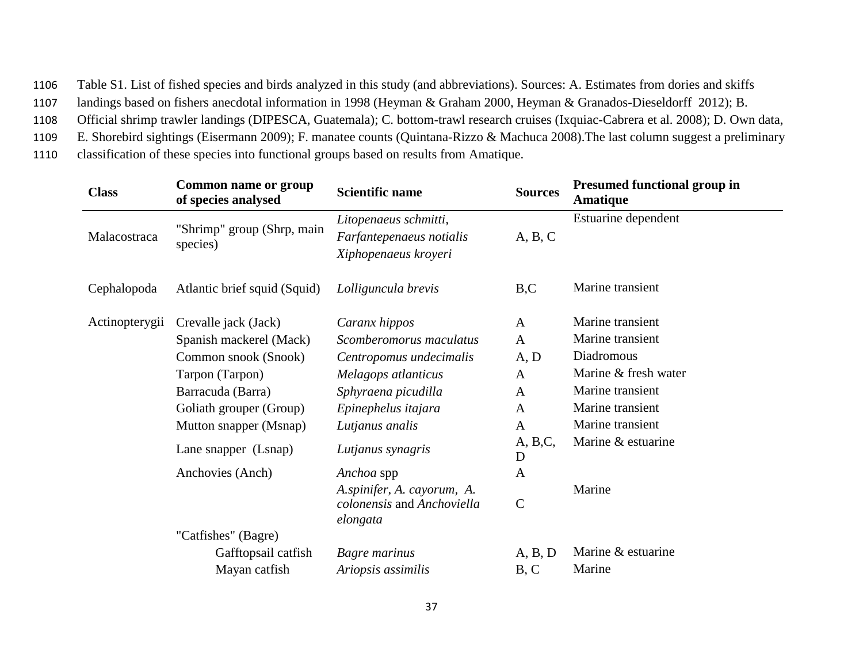1106 Table S1. List of fished species and birds analyzed in this study (and abbreviations). Sources: A. Estimates from dories and skiffs

1107 landings based on fishers anecdotal information in 1998 (Heyman & Graham 2000, Heyman & Granados-Dieseldorff 2012); B.

1108 Official shrimp trawler landings (DIPESCA, Guatemala); C. bottom-trawl research cruises (Ixquiac-Cabrera et al. 2008); D. Own data,

1109 E. Shorebird sightings (Eisermann 2009); F. manatee counts (Quintana-Rizzo & Machuca 2008).The last column suggest a preliminary

1110 classification of these species into functional groups based on results from Amatique.

| <b>Class</b>   | <b>Common name or group</b><br>of species analysed | <b>Scientific name</b>                                                    | <b>Sources</b>          | <b>Presumed functional group in</b><br><b>Amatique</b> |
|----------------|----------------------------------------------------|---------------------------------------------------------------------------|-------------------------|--------------------------------------------------------|
| Malacostraca   | "Shrimp" group (Shrp, main<br>species)             | Litopenaeus schmitti,<br>Farfantepenaeus notialis<br>Xiphopenaeus kroyeri | A, B, C                 | Estuarine dependent                                    |
| Cephalopoda    | Atlantic brief squid (Squid)                       | Lolliguncula brevis                                                       | B,C                     | Marine transient                                       |
| Actinopterygii | Crevalle jack (Jack)                               | Caranx hippos                                                             | $\mathbf{A}$            | Marine transient                                       |
|                | Spanish mackerel (Mack)                            | Scomberomorus maculatus                                                   | $\mathbf{A}$            | Marine transient                                       |
|                | Common snook (Snook)                               | Centropomus undecimalis                                                   | A, D                    | Diadromous                                             |
|                | Tarpon (Tarpon)                                    | Melagops atlanticus                                                       | $\mathbf{A}$            | Marine & fresh water                                   |
|                | Barracuda (Barra)                                  | Sphyraena picudilla                                                       | $\mathbf{A}$            | Marine transient                                       |
|                | Goliath grouper (Group)                            | Epinephelus itajara                                                       | $\mathbf{A}$            | Marine transient                                       |
|                | Mutton snapper (Msnap)                             | Lutjanus analis                                                           | $\mathbf{A}$            | Marine transient                                       |
|                | Lane snapper (Lsnap)                               | Lutjanus synagris                                                         | A, B, C,<br>$\mathbf D$ | Marine & estuarine                                     |
|                | Anchovies (Anch)                                   | Anchoa spp                                                                | $\mathbf{A}$            |                                                        |
|                |                                                    | A.spinifer, A. cayorum, A.<br>colonensis and Anchoviella<br>elongata      | $\mathbf C$             | Marine                                                 |
|                | "Catfishes" (Bagre)                                |                                                                           |                         |                                                        |
|                | Gafftopsail catfish                                | Bagre marinus                                                             | A, B, D                 | Marine & estuarine                                     |
|                | Mayan catfish                                      | Ariopsis assimilis                                                        | B, C                    | Marine                                                 |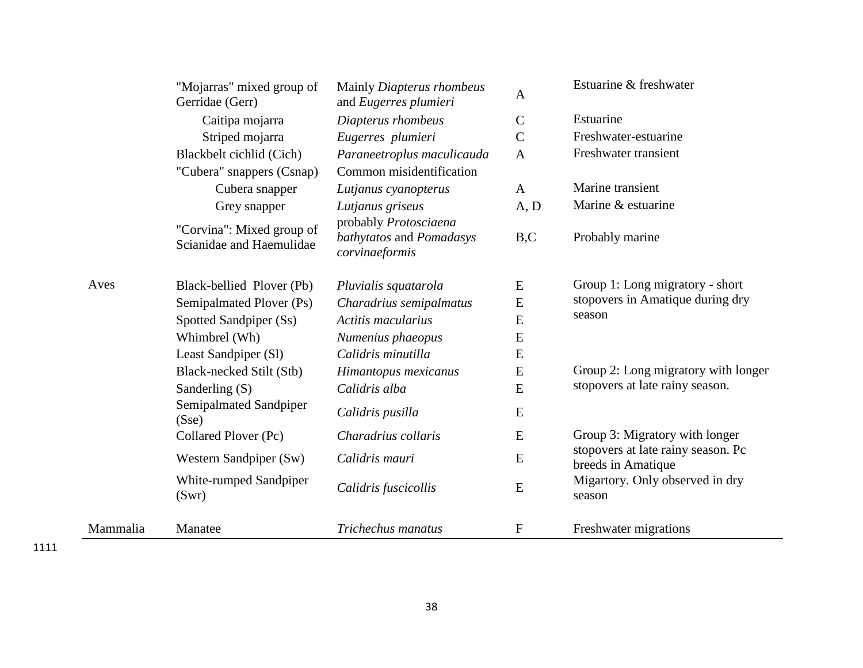| "Mojarras" mixed group of<br>Gerridae (Gerr) |                                                       | Mainly Diapterus rhombeus<br>and Eugerres plumieri                  | Estuarine & freshwater |                                                          |  |
|----------------------------------------------|-------------------------------------------------------|---------------------------------------------------------------------|------------------------|----------------------------------------------------------|--|
|                                              | Caitipa mojarra                                       | Diapterus rhombeus                                                  | $\mathsf{C}$           | Estuarine                                                |  |
|                                              | Striped mojarra                                       | Eugerres plumieri                                                   | $\mathbf C$            | Freshwater-estuarine                                     |  |
|                                              | Blackbelt cichlid (Cich)                              | Paraneetroplus maculicauda                                          | $\mathbf{A}$           | Freshwater transient                                     |  |
|                                              | "Cubera" snappers (Csnap)                             | Common misidentification                                            |                        |                                                          |  |
|                                              | Cubera snapper                                        | Lutjanus cyanopterus                                                | $\mathbf{A}$           | Marine transient                                         |  |
|                                              | Grey snapper                                          | Lutjanus griseus                                                    | A, D                   | Marine & estuarine                                       |  |
|                                              | "Corvina": Mixed group of<br>Scianidae and Haemulidae | probably Protosciaena<br>bathytatos and Pomadasys<br>corvinaeformis | B, C                   | Probably marine                                          |  |
| Aves                                         | Black-bellied Plover (Pb)                             | Pluvialis squatarola                                                | E                      | Group 1: Long migratory - short                          |  |
|                                              | Semipalmated Plover (Ps)                              | Charadrius semipalmatus                                             | ${\bf E}$              | stopovers in Amatique during dry                         |  |
|                                              | Spotted Sandpiper (Ss)                                | Actitis macularius                                                  | ${\bf E}$              | season                                                   |  |
|                                              | Whimbrel (Wh)                                         | Numenius phaeopus                                                   | ${\bf E}$              |                                                          |  |
|                                              | Least Sandpiper (Sl)                                  | Calidris minutilla                                                  | ${\bf E}$              |                                                          |  |
|                                              | Black-necked Stilt (Stb)                              | Himantopus mexicanus                                                | E                      | Group 2: Long migratory with longer                      |  |
|                                              | Sanderling (S)                                        | Calidris alba                                                       | ${\bf E}$              | stopovers at late rainy season.                          |  |
|                                              | Semipalmated Sandpiper<br>(Sse)                       | Calidris pusilla                                                    | E                      |                                                          |  |
|                                              | Collared Plover (Pc)                                  | Charadrius collaris                                                 | ${\bf E}$              | Group 3: Migratory with longer                           |  |
|                                              | Western Sandpiper (Sw)                                | Calidris mauri                                                      | ${\bf E}$              | stopovers at late rainy season. Pc<br>breeds in Amatique |  |
|                                              | White-rumped Sandpiper<br>(Swr)                       | Calidris fuscicollis                                                | ${\bf E}$              | Migartory. Only observed in dry<br>season                |  |
| Mammalia                                     | Manatee                                               | Trichechus manatus                                                  | $\mathbf{F}$           | Freshwater migrations                                    |  |

÷.